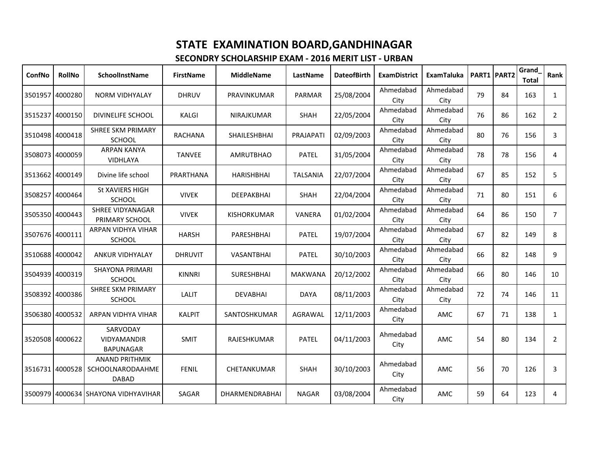| ConfNo          | <b>RollNo</b>   | <b>SchoolInstName</b>                                                     | <b>FirstName</b> | <b>MiddleName</b>     | LastName        | <b>DateofBirth</b> | <b>ExamDistrict</b> | <b>ExamTaluka</b> |    | PART1 PART2 | Grand<br><b>Total</b> | Rank           |
|-----------------|-----------------|---------------------------------------------------------------------------|------------------|-----------------------|-----------------|--------------------|---------------------|-------------------|----|-------------|-----------------------|----------------|
|                 | 3501957 4000280 | <b>NORM VIDHYALAY</b>                                                     | <b>DHRUV</b>     | PRAVINKUMAR           | PARMAR          | 25/08/2004         | Ahmedabad<br>City   | Ahmedabad<br>City | 79 | 84          | 163                   | $\mathbf{1}$   |
|                 | 3515237 4000150 | DIVINELIFE SCHOOL                                                         | <b>KALGI</b>     | <b>NIRAJKUMAR</b>     | <b>SHAH</b>     | 22/05/2004         | Ahmedabad<br>City   | Ahmedabad<br>City | 76 | 86          | 162                   | $\overline{2}$ |
|                 | 3510498 4000418 | <b>SHREE SKM PRIMARY</b><br>SCHOOL                                        | <b>RACHANA</b>   | <b>SHAILESHBHAI</b>   | PRAJAPATI       | 02/09/2003         | Ahmedabad<br>City   | Ahmedabad<br>City | 80 | 76          | 156                   | 3              |
|                 | 3508073 4000059 | <b>ARPAN KANYA</b><br>VIDHLAYA                                            | <b>TANVEE</b>    | <b>AMRUTBHAO</b>      | <b>PATEL</b>    | 31/05/2004         | Ahmedabad<br>City   | Ahmedabad<br>City | 78 | 78          | 156                   | 4              |
|                 | 3513662 4000149 | Divine life school                                                        | PRARTHANA        | <b>HARISHBHAI</b>     | <b>TALSANIA</b> | 22/07/2004         | Ahmedabad<br>City   | Ahmedabad<br>City | 67 | 85          | 152                   | 5              |
| 3508257         | 4000464         | St XAVIERS HIGH<br><b>SCHOOL</b>                                          | <b>VIVEK</b>     | <b>DEEPAKBHAI</b>     | <b>SHAH</b>     | 22/04/2004         | Ahmedabad<br>City   | Ahmedabad<br>City | 71 | 80          | 151                   | 6              |
|                 | 3505350 4000443 | <b>SHREE VIDYANAGAR</b><br>PRIMARY SCHOOL                                 | <b>VIVEK</b>     | <b>KISHORKUMAR</b>    | <b>VANERA</b>   | 01/02/2004         | Ahmedabad<br>City   | Ahmedabad<br>City | 64 | 86          | 150                   | 7              |
| 3507676 4000111 |                 | ARPAN VIDHYA VIHAR<br><b>SCHOOL</b>                                       | <b>HARSH</b>     | <b>PARESHBHAI</b>     | <b>PATEL</b>    | 19/07/2004         | Ahmedabad<br>City   | Ahmedabad<br>City | 67 | 82          | 149                   | 8              |
|                 | 3510688 4000042 | <b>ANKUR VIDHYALAY</b>                                                    | <b>DHRUVIT</b>   | VASANTBHAI            | <b>PATEL</b>    | 30/10/2003         | Ahmedabad<br>City   | Ahmedabad<br>City | 66 | 82          | 148                   | 9              |
| 3504939         | 4000319         | <b>SHAYONA PRIMARI</b><br><b>SCHOOL</b>                                   | <b>KINNRI</b>    | <b>SURESHBHAI</b>     | <b>MAKWANA</b>  | 20/12/2002         | Ahmedabad<br>City   | Ahmedabad<br>City | 66 | 80          | 146                   | 10             |
|                 | 3508392 4000386 | <b>SHREE SKM PRIMARY</b><br><b>SCHOOL</b>                                 | <b>LALIT</b>     | <b>DEVABHAI</b>       | <b>DAYA</b>     | 08/11/2003         | Ahmedabad<br>City   | Ahmedabad<br>City | 72 | 74          | 146                   | 11             |
|                 | 3506380 4000532 | ARPAN VIDHYA VIHAR                                                        | <b>KALPIT</b>    | SANTOSHKUMAR          | AGRAWAL         | 12/11/2003         | Ahmedabad<br>City   | AMC               | 67 | 71          | 138                   | $\mathbf{1}$   |
|                 | 3520508 4000622 | SARVODAY<br><b>VIDYAMANDIR</b><br><b>BAPUNAGAR</b>                        | <b>SMIT</b>      | RAJESHKUMAR           | <b>PATEL</b>    | 04/11/2003         | Ahmedabad<br>City   | AMC               | 54 | 80          | 134                   | $\overline{2}$ |
|                 |                 | <b>ANAND PRITHMIK</b><br>3516731 4000528 SCHOOLNARODAAHME<br><b>DABAD</b> | <b>FENIL</b>     | CHETANKUMAR           | <b>SHAH</b>     | 30/10/2003         | Ahmedabad<br>City   | AMC               | 56 | 70          | 126                   | 3              |
|                 |                 | 3500979 4000634 SHAYONA VIDHYAVIHAR                                       | SAGAR            | <b>DHARMENDRABHAI</b> | <b>NAGAR</b>    | 03/08/2004         | Ahmedabad<br>City   | AMC               | 59 | 64          | 123                   | 4              |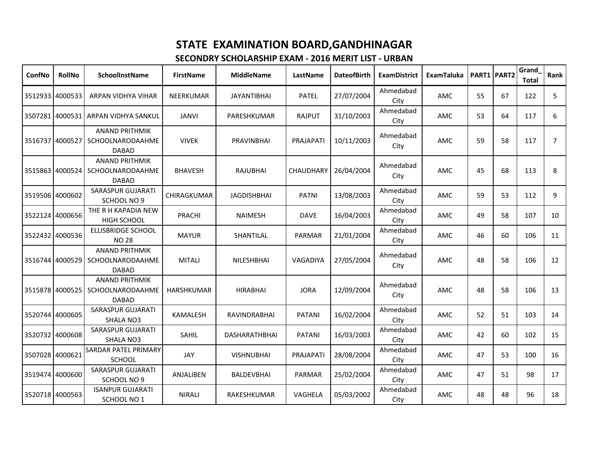| ConfNo          | <b>RollNo</b>   | <b>SchoolInstName</b>                                            | <b>FirstName</b>   | <b>MiddleName</b>  | LastName         | <b>DateofBirth</b> | <b>ExamDistrict</b> | ExamTaluka |    | <b>PART1 PART2</b> | <b>Grand</b><br><b>Total</b> | Rank           |
|-----------------|-----------------|------------------------------------------------------------------|--------------------|--------------------|------------------|--------------------|---------------------|------------|----|--------------------|------------------------------|----------------|
| 3512933         | 4000533         | ARPAN VIDHYA VIHAR                                               | <b>NEERKUMAR</b>   | <b>JAYANTIBHAI</b> | <b>PATEL</b>     | 27/07/2004         | Ahmedabad<br>City   | AMC        | 55 | 67                 | 122                          | 5              |
|                 |                 | 3507281 4000531 ARPAN VIDHYA SANKUL                              | <b>JANVI</b>       | PARESHKUMAR        | <b>RAJPUT</b>    | 31/10/2003         | Ahmedabad<br>City   | AMC        | 53 | 64                 | 117                          | 6              |
| 3516737         | 4000527         | <b>ANAND PRITHMIK</b><br><b>SCHOOLNARODAAHME</b><br><b>DABAD</b> | <b>VIVEK</b>       | PRAVINBHAI         | PRAJAPATI        | 10/11/2003         | Ahmedabad<br>City   | AMC        | 59 | 58                 | 117                          | $\overline{7}$ |
|                 | 3515863 4000524 | <b>ANAND PRITHMIK</b><br>SCHOOLNARODAAHME<br><b>DABAD</b>        | <b>BHAVESH</b>     | <b>RAJUBHAI</b>    | <b>CHAUDHARY</b> | 26/04/2004         | Ahmedabad<br>City   | AMC        | 45 | 68                 | 113                          | 8              |
| 3519506 4000602 |                 | SARASPUR GUJARATI<br>SCHOOL NO 9                                 | <b>CHIRAGKUMAR</b> | <b>JAGDISHBHAI</b> | <b>PATNI</b>     | 13/08/2003         | Ahmedabad<br>City   | AMC        | 59 | 53                 | 112                          | 9              |
|                 | 3522124 4000656 | THE R H KAPADIA NEW<br><b>HIGH SCHOOL</b>                        | PRACHI             | <b>NAIMESH</b>     | <b>DAVE</b>      | 16/04/2003         | Ahmedabad<br>City   | AMC        | 49 | 58                 | 107                          | 10             |
|                 | 3522432 4000536 | <b>ELLISBRIDGE SCHOOL</b><br><b>NO 28</b>                        | <b>MAYUR</b>       | SHANTILAL          | PARMAR           | 21/01/2004         | Ahmedabad<br>City   | AMC        | 46 | 60                 | 106                          | 11             |
| 3516744 4000529 |                 | <b>ANAND PRITHMIK</b><br>SCHOOLNARODAAHME<br><b>DABAD</b>        | <b>MITALI</b>      | NILESHBHAI         | <b>VAGADIYA</b>  | 27/05/2004         | Ahmedabad<br>City   | AMC        | 48 | 58                 | 106                          | 12             |
|                 | 3515878 4000525 | <b>ANAND PRITHMIK</b><br>SCHOOLNARODAAHME<br><b>DABAD</b>        | <b>HARSHKUMAR</b>  | <b>HIRABHAI</b>    | <b>JORA</b>      | 12/09/2004         | Ahmedabad<br>City   | AMC        | 48 | 58                 | 106                          | 13             |
|                 | 3520744 4000605 | SARASPUR GUJARATI<br><b>SHALA NO3</b>                            | <b>KAMALESH</b>    | RAVINDRABHAI       | PATANI           | 16/02/2004         | Ahmedabad<br>City   | AMC        | 52 | 51                 | 103                          | 14             |
|                 | 3520732 4000608 | <b>SARASPUR GUJARATI</b><br>SHALA NO3                            | SAHIL              | DASHARATHBHAI      | <b>PATANI</b>    | 16/03/2003         | Ahmedabad<br>City   | AMC        | 42 | 60                 | 102                          | 15             |
| 3507028 4000621 |                 | <b>SARDAR PATEL PRIMARY</b><br><b>SCHOOL</b>                     | JAY                | <b>VISHNUBHAI</b>  | PRAJAPATI        | 28/08/2004         | Ahmedabad<br>City   | AMC        | 47 | 53                 | 100                          | 16             |
|                 | 3519474 4000600 | <b>SARASPUR GUJARATI</b><br>SCHOOL NO 9                          | ANJALIBEN          | <b>BALDEVBHAI</b>  | PARMAR           | 25/02/2004         | Ahmedabad<br>City   | AMC        | 47 | 51                 | 98                           | 17             |
| 3520718 4000563 |                 | <b>ISANPUR GUJARATI</b><br>SCHOOL NO 1                           | <b>NIRALI</b>      | <b>RAKESHKUMAR</b> | <b>VAGHELA</b>   | 05/03/2002         | Ahmedabad<br>City   | AMC        | 48 | 48                 | 96                           | 18             |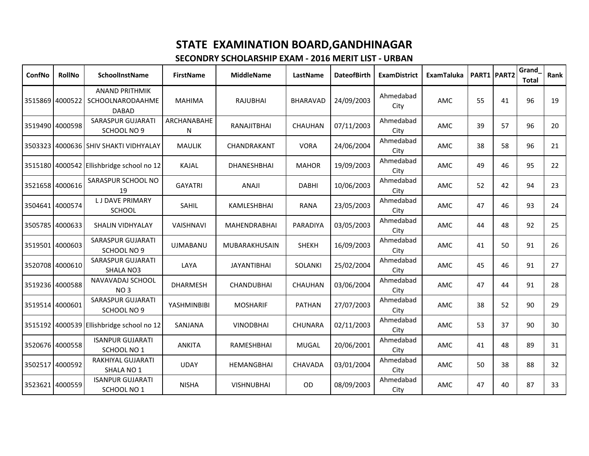| <b>ConfNo</b>   | <b>RollNo</b>   | <b>SchoolInstName</b>                                     | <b>FirstName</b>   | <b>MiddleName</b>   | LastName        | <b>DateofBirth</b> | <b>ExamDistrict</b> | <b>ExamTaluka</b> | PART1 PART2 |    | Grand<br><b>Total</b> | Rank |
|-----------------|-----------------|-----------------------------------------------------------|--------------------|---------------------|-----------------|--------------------|---------------------|-------------------|-------------|----|-----------------------|------|
| 3515869 4000522 |                 | <b>ANAND PRITHMIK</b><br>SCHOOLNARODAAHME<br><b>DABAD</b> | <b>MAHIMA</b>      | <b>RAJUBHAI</b>     | <b>BHARAVAD</b> | 24/09/2003         | Ahmedabad<br>City   | AMC               | 55          | 41 | 96                    | 19   |
| 3519490 4000598 |                 | SARASPUR GUJARATI<br>SCHOOL NO 9                          | ARCHANABAHE<br>N   | RANAJITBHAI         | <b>CHAUHAN</b>  | 07/11/2003         | Ahmedabad<br>City   | AMC               | 39          | 57 | 96                    | 20   |
|                 |                 | 3503323 4000636 SHIV SHAKTI VIDHYALAY                     | <b>MAULIK</b>      | CHANDRAKANT         | <b>VORA</b>     | 24/06/2004         | Ahmedabad<br>City   | <b>AMC</b>        | 38          | 58 | 96                    | 21   |
|                 |                 | 3515180 4000542 Ellishbridge school no 12                 | <b>KAJAL</b>       | DHANESHBHAI         | <b>MAHOR</b>    | 19/09/2003         | Ahmedabad<br>City   | AMC               | 49          | 46 | 95                    | 22   |
| 3521658 4000616 |                 | SARASPUR SCHOOL NO<br>19                                  | <b>GAYATRI</b>     | ANAJI               | <b>DABHI</b>    | 10/06/2003         | Ahmedabad<br>City   | AMC               | 52          | 42 | 94                    | 23   |
| 3504641 4000574 |                 | <b>LJ DAVE PRIMARY</b><br><b>SCHOOL</b>                   | SAHIL              | KAMLESHBHAI         | <b>RANA</b>     | 23/05/2003         | Ahmedabad<br>City   | AMC               | 47          | 46 | 93                    | 24   |
| 3505785 4000633 |                 | <b>SHALIN VIDHYALAY</b>                                   | VAISHNAVI          | <b>MAHENDRABHAI</b> | PARADIYA        | 03/05/2003         | Ahmedabad<br>City   | AMC               | 44          | 48 | 92                    | 25   |
| 3519501 4000603 |                 | <b>SARASPUR GUJARATI</b><br>SCHOOL NO 9                   | <b>UJMABANU</b>    | MUBARAKHUSAIN       | <b>SHEKH</b>    | 16/09/2003         | Ahmedabad<br>City   | AMC               | 41          | 50 | 91                    | 26   |
|                 | 3520708 4000610 | SARASPUR GUJARATI<br>SHALA NO3                            | LAYA               | <b>JAYANTIBHAI</b>  | <b>SOLANKI</b>  | 25/02/2004         | Ahmedabad<br>City   | AMC               | 45          | 46 | 91                    | 27   |
|                 | 3519236 4000588 | NAVAVADAJ SCHOOL<br>NO <sub>3</sub>                       | <b>DHARMESH</b>    | <b>CHANDUBHAI</b>   | <b>CHAUHAN</b>  | 03/06/2004         | Ahmedabad<br>City   | AMC               | 47          | 44 | 91                    | 28   |
| 3519514 4000601 |                 | SARASPUR GUJARATI<br>SCHOOL NO 9                          | <b>YASHMINBIBI</b> | <b>MOSHARIF</b>     | <b>PATHAN</b>   | 27/07/2003         | Ahmedabad<br>City   | AMC               | 38          | 52 | 90                    | 29   |
|                 |                 | 3515192 4000539 Ellishbridge school no 12                 | SANJANA            | <b>VINODBHAI</b>    | <b>CHUNARA</b>  | 02/11/2003         | Ahmedabad<br>City   | AMC               | 53          | 37 | 90                    | 30   |
| 3520676 4000558 |                 | <b>ISANPUR GUJARATI</b><br>SCHOOL NO 1                    | <b>ANKITA</b>      | RAMESHBHAI          | <b>MUGAL</b>    | 20/06/2001         | Ahmedabad<br>City   | AMC               | 41          | 48 | 89                    | 31   |
| 3502517 4000592 |                 | RAKHIYAL GUJARATI<br>SHALA NO <sub>1</sub>                | <b>UDAY</b>        | <b>HEMANGBHAI</b>   | <b>CHAVADA</b>  | 03/01/2004         | Ahmedabad<br>City   | AMC               | 50          | 38 | 88                    | 32   |
| 3523621 4000559 |                 | <b>ISANPUR GUJARATI</b><br>SCHOOL NO 1                    | <b>NISHA</b>       | <b>VISHNUBHAI</b>   | OD              | 08/09/2003         | Ahmedabad<br>City   | AMC               | 47          | 40 | 87                    | 33   |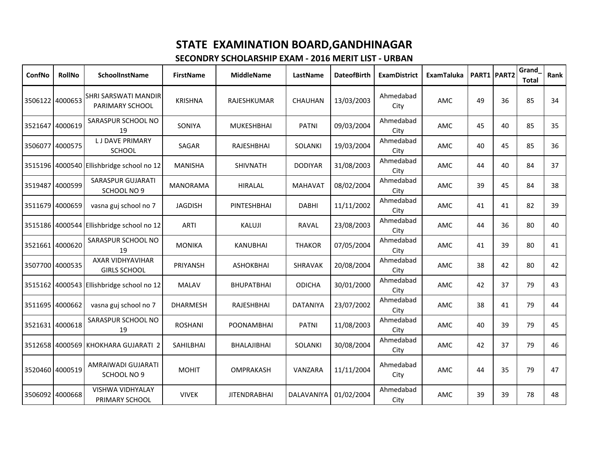| ConfNo          | <b>RollNo</b>   | <b>SchoolInstName</b>                     | <b>FirstName</b> | <b>MiddleName</b>   | LastName        | <b>DateofBirth</b> | <b>ExamDistrict</b> | <b>ExamTaluka</b> |    | PART1 PART2 | Grand<br><b>Total</b> | Rank |
|-----------------|-----------------|-------------------------------------------|------------------|---------------------|-----------------|--------------------|---------------------|-------------------|----|-------------|-----------------------|------|
| 3506122 4000653 |                 | SHRI SARSWATI MANDIR<br>PARIMARY SCHOOL   | <b>KRISHNA</b>   | RAJESHKUMAR         | <b>CHAUHAN</b>  | 13/03/2003         | Ahmedabad<br>City   | AMC               | 49 | 36          | 85                    | 34   |
| 3521647         | 4000619         | SARASPUR SCHOOL NO<br>19                  | SONIYA           | <b>MUKESHBHAI</b>   | <b>PATNI</b>    | 09/03/2004         | Ahmedabad<br>City   | AMC               | 45 | 40          | 85                    | 35   |
|                 | 3506077 4000575 | <b>LJ DAVE PRIMARY</b><br>SCHOOL          | SAGAR            | <b>RAJESHBHAI</b>   | <b>SOLANKI</b>  | 19/03/2004         | Ahmedabad<br>City   | AMC               | 40 | 45          | 85                    | 36   |
|                 |                 | 3515196 4000540 Ellishbridge school no 12 | <b>MANISHA</b>   | <b>SHIVNATH</b>     | <b>DODIYAR</b>  | 31/08/2003         | Ahmedabad<br>City   | AMC               | 44 | 40          | 84                    | 37   |
| 3519487         | 4000599         | <b>SARASPUR GUJARATI</b><br>SCHOOL NO 9   | <b>MANORAMA</b>  | <b>HIRALAL</b>      | <b>MAHAVAT</b>  | 08/02/2004         | Ahmedabad<br>City   | AMC               | 39 | 45          | 84                    | 38   |
|                 | 3511679 4000659 | vasna guj school no 7                     | <b>JAGDISH</b>   | PINTESHBHAI         | <b>DABHI</b>    | 11/11/2002         | Ahmedabad<br>City   | AMC               | 41 | 41          | 82                    | 39   |
|                 |                 | 3515186 4000544 Ellishbridge school no 12 | <b>ARTI</b>      | KALUJI              | RAVAL           | 23/08/2003         | Ahmedabad<br>City   | AMC               | 44 | 36          | 80                    | 40   |
| 3521661 4000620 |                 | SARASPUR SCHOOL NO<br>19                  | <b>MONIKA</b>    | <b>KANUBHAI</b>     | <b>THAKOR</b>   | 07/05/2004         | Ahmedabad<br>City   | AMC               | 41 | 39          | 80                    | 41   |
|                 | 3507700 4000535 | AXAR VIDHYAVIHAR<br><b>GIRLS SCHOOL</b>   | PRIYANSH         | <b>ASHOKBHAI</b>    | SHRAVAK         | 20/08/2004         | Ahmedabad<br>City   | AMC               | 38 | 42          | 80                    | 42   |
|                 |                 | 3515162 4000543 Ellishbridge school no 12 | <b>MALAV</b>     | <b>BHUPATBHAI</b>   | <b>ODICHA</b>   | 30/01/2000         | Ahmedabad<br>City   | AMC               | 42 | 37          | 79                    | 43   |
|                 | 3511695 4000662 | vasna guj school no 7                     | <b>DHARMESH</b>  | RAJESHBHAI          | <b>DATANIYA</b> | 23/07/2002         | Ahmedabad<br>City   | AMC               | 38 | 41          | 79                    | 44   |
| 3521631 4000618 |                 | SARASPUR SCHOOL NO<br>19                  | <b>ROSHANI</b>   | <b>POONAMBHAI</b>   | <b>PATNI</b>    | 11/08/2003         | Ahmedabad<br>City   | AMC               | 40 | 39          | 79                    | 45   |
|                 |                 | 3512658 4000569 KHOKHARA GUJARATI 2       | SAHILBHAI        | <b>BHALAJIBHAI</b>  | <b>SOLANKI</b>  | 30/08/2004         | Ahmedabad<br>City   | AMC               | 42 | 37          | 79                    | 46   |
| 3520460 4000519 |                 | AMRAIWADI GUJARATI<br>SCHOOL NO 9         | <b>MOHIT</b>     | OMPRAKASH           | VANZARA         | 11/11/2004         | Ahmedabad<br>City   | AMC               | 44 | 35          | 79                    | 47   |
| 3506092 4000668 |                 | VISHWA VIDHYALAY<br>PRIMARY SCHOOL        | <b>VIVEK</b>     | <b>JITENDRABHAI</b> | DALAVANIYA      | 01/02/2004         | Ahmedabad<br>City   | AMC               | 39 | 39          | 78                    | 48   |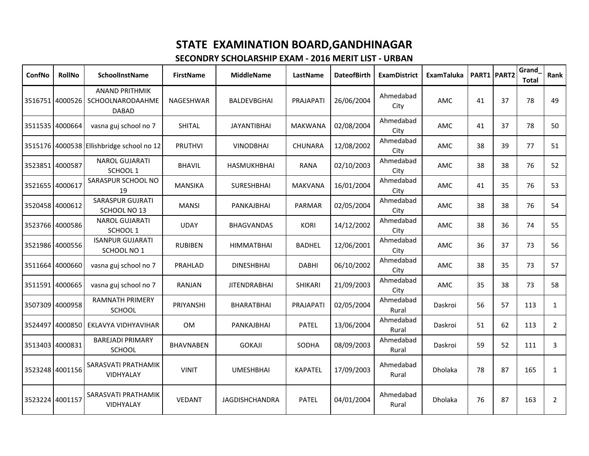| ConfNo          | <b>RollNo</b>   | SchoolInstName                                            | <b>FirstName</b> | <b>MiddleName</b>     | LastName       | <b>DateofBirth</b> | <b>ExamDistrict</b> | <b>ExamTaluka</b> |    | PART1 PART2 | Grand<br><b>Total</b> | Rank           |
|-----------------|-----------------|-----------------------------------------------------------|------------------|-----------------------|----------------|--------------------|---------------------|-------------------|----|-------------|-----------------------|----------------|
|                 | 3516751 4000526 | <b>ANAND PRITHMIK</b><br>SCHOOLNARODAAHME<br><b>DABAD</b> | NAGESHWAR        | <b>BALDEVBGHAI</b>    | PRAJAPATI      | 26/06/2004         | Ahmedabad<br>City   | AMC               | 41 | 37          | 78                    | 49             |
|                 | 3511535 4000664 | vasna guj school no 7                                     | SHITAL           | <b>JAYANTIBHAI</b>    | <b>MAKWANA</b> | 02/08/2004         | Ahmedabad<br>City   | AMC               | 41 | 37          | 78                    | 50             |
|                 |                 | 3515176 4000538 Ellishbridge school no 12                 | <b>PRUTHVI</b>   | <b>VINODBHAI</b>      | <b>CHUNARA</b> | 12/08/2002         | Ahmedabad<br>City   | AMC               | 38 | 39          | 77                    | 51             |
| 3523851 4000587 |                 | <b>NAROL GUJARATI</b><br>SCHOOL 1                         | <b>BHAVIL</b>    | <b>HASMUKHBHAI</b>    | <b>RANA</b>    | 02/10/2003         | Ahmedabad<br>City   | AMC               | 38 | 38          | 76                    | 52             |
| 3521655 4000617 |                 | SARASPUR SCHOOL NO<br>19                                  | <b>MANSIKA</b>   | <b>SURESHBHAI</b>     | <b>MAKVANA</b> | 16/01/2004         | Ahmedabad<br>City   | AMC               | 41 | 35          | 76                    | 53             |
|                 | 3520458 4000612 | <b>SARASPUR GUJRATI</b><br>SCHOOL NO 13                   | <b>MANSI</b>     | PANKAJBHAI            | PARMAR         | 02/05/2004         | Ahmedabad<br>City   | AMC               | 38 | 38          | 76                    | 54             |
|                 | 3523766 4000586 | <b>NAROL GUJARATI</b><br>SCHOOL 1                         | <b>UDAY</b>      | <b>BHAGVANDAS</b>     | <b>KORI</b>    | 14/12/2002         | Ahmedabad<br>City   | AMC               | 38 | 36          | 74                    | 55             |
|                 | 3521986 4000556 | <b>ISANPUR GUJARATI</b><br>SCHOOL NO 1                    | <b>RUBIBEN</b>   | <b>HIMMATBHAI</b>     | <b>BADHEL</b>  | 12/06/2001         | Ahmedabad<br>City   | AMC               | 36 | 37          | 73                    | 56             |
|                 | 3511664 4000660 | vasna guj school no 7                                     | PRAHLAD          | <b>DINESHBHAI</b>     | <b>DABHI</b>   | 06/10/2002         | Ahmedabad<br>City   | AMC               | 38 | 35          | 73                    | 57             |
|                 | 3511591 4000665 | vasna guj school no 7                                     | RANJAN           | <b>JITENDRABHAI</b>   | <b>SHIKARI</b> | 21/09/2003         | Ahmedabad<br>City   | AMC               | 35 | 38          | 73                    | 58             |
|                 | 3507309 4000958 | <b>RAMNATH PRIMERY</b><br><b>SCHOOL</b>                   | PRIYANSHI        | BHARATBHAI            | PRAJAPATI      | 02/05/2004         | Ahmedabad<br>Rural  | Daskroi           | 56 | 57          | 113                   | $\mathbf{1}$   |
|                 | 3524497 4000850 | EKLAVYA VIDHYAVIHAR                                       | <b>OM</b>        | PANKAJBHAI            | <b>PATEL</b>   | 13/06/2004         | Ahmedabad<br>Rural  | Daskroi           | 51 | 62          | 113                   | $\overline{2}$ |
|                 | 3513403 4000831 | <b>BAREJADI PRIMARY</b><br><b>SCHOOL</b>                  | <b>BHAVNABEN</b> | <b>GOKAJI</b>         | SODHA          | 08/09/2003         | Ahmedabad<br>Rural  | Daskroi           | 59 | 52          | 111                   | 3              |
| 3523248 4001156 |                 | SARASVATI PRATHAMIK<br>VIDHYALAY                          | <b>VINIT</b>     | <b>UMESHBHAI</b>      | <b>KAPATEL</b> | 17/09/2003         | Ahmedabad<br>Rural  | Dholaka           | 78 | 87          | 165                   | $\mathbf{1}$   |
| 3523224 4001157 |                 | SARASVATI PRATHAMIK<br>VIDHYALAY                          | <b>VEDANT</b>    | <b>JAGDISHCHANDRA</b> | <b>PATEL</b>   | 04/01/2004         | Ahmedabad<br>Rural  | <b>Dholaka</b>    | 76 | 87          | 163                   | $\overline{2}$ |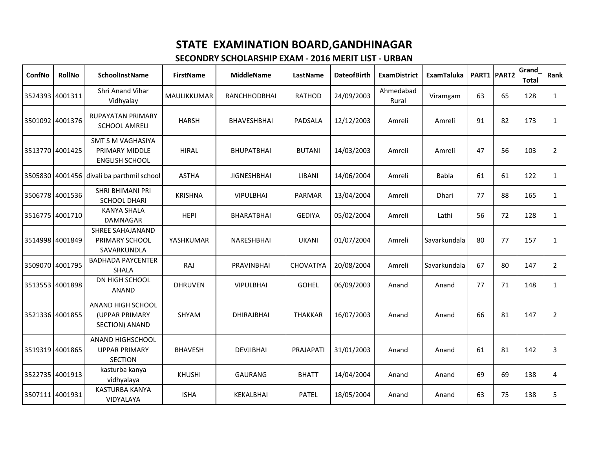| ConfNo          | <b>RollNo</b>   | <b>SchoolInstName</b>                                               | <b>FirstName</b> | <b>MiddleName</b>  | LastName       | <b>DateofBirth</b> | <b>ExamDistrict</b> | <b>ExamTaluka</b> |    | PART1 PART2 | Grand<br><b>Total</b> | Rank           |
|-----------------|-----------------|---------------------------------------------------------------------|------------------|--------------------|----------------|--------------------|---------------------|-------------------|----|-------------|-----------------------|----------------|
|                 | 3524393 4001311 | Shri Anand Vihar<br>Vidhyalay                                       | MAULIKKUMAR      | RANCHHODBHAI       | <b>RATHOD</b>  | 24/09/2003         | Ahmedabad<br>Rural  | Viramgam          | 63 | 65          | 128                   | $\mathbf{1}$   |
|                 | 3501092 4001376 | RUPAYATAN PRIMARY<br><b>SCHOOL AMRELI</b>                           | <b>HARSH</b>     | <b>BHAVESHBHAI</b> | PADSALA        | 12/12/2003         | Amreli              | Amreli            | 91 | 82          | 173                   | $\mathbf{1}$   |
| 3513770 4001425 |                 | <b>SMT S M VAGHASIYA</b><br>PRIMARY MIDDLE<br><b>ENGLISH SCHOOL</b> | <b>HIRAL</b>     | <b>BHUPATBHAI</b>  | <b>BUTANI</b>  | 14/03/2003         | Amreli              | Amreli            | 47 | 56          | 103                   | $\overline{2}$ |
|                 | 3505830 4001456 | divali ba parthmil school                                           | <b>ASTHA</b>     | <b>JIGNESHBHAI</b> | LIBANI         | 14/06/2004         | Amreli              | Babla             | 61 | 61          | 122                   | $\mathbf{1}$   |
|                 | 3506778 4001536 | SHRI BHIMANI PRI<br><b>SCHOOL DHARI</b>                             | <b>KRISHNA</b>   | <b>VIPULBHAI</b>   | <b>PARMAR</b>  | 13/04/2004         | Amreli              | <b>Dhari</b>      | 77 | 88          | 165                   | $\mathbf{1}$   |
|                 | 3516775 4001710 | <b>KANYA SHALA</b><br><b>DAMNAGAR</b>                               | <b>HEPI</b>      | BHARATBHAI         | <b>GEDIYA</b>  | 05/02/2004         | Amreli              | Lathi             | 56 | 72          | 128                   | $\mathbf{1}$   |
|                 | 3514998 4001849 | <b>SHREE SAHAJANAND</b><br>PRIMARY SCHOOL<br>SAVARKUNDLA            | YASHKUMAR        | NARESHBHAI         | <b>UKANI</b>   | 01/07/2004         | Amreli              | Savarkundala      | 80 | 77          | 157                   | $\mathbf{1}$   |
|                 | 3509070 4001795 | <b>BADHADA PAYCENTER</b><br><b>SHALA</b>                            | RAJ              | PRAVINBHAI         | CHOVATIYA      | 20/08/2004         | Amreli              | Savarkundala      | 67 | 80          | 147                   | $\overline{2}$ |
|                 | 3513553 4001898 | DN HIGH SCHOOL<br><b>ANAND</b>                                      | <b>DHRUVEN</b>   | <b>VIPULBHAI</b>   | <b>GOHEL</b>   | 06/09/2003         | Anand               | Anand             | 77 | 71          | 148                   | $\mathbf{1}$   |
|                 | 3521336 4001855 | ANAND HIGH SCHOOL<br>(UPPAR PRIMARY<br>SECTION) ANAND               | SHYAM            | <b>DHIRAJBHAI</b>  | <b>THAKKAR</b> | 16/07/2003         | Anand               | Anand             | 66 | 81          | 147                   | $\overline{2}$ |
|                 | 3519319 4001865 | <b>ANAND HIGHSCHOOL</b><br><b>UPPAR PRIMARY</b><br><b>SECTION</b>   | <b>BHAVESH</b>   | <b>DEVJIBHAI</b>   | PRAJAPATI      | 31/01/2003         | Anand               | Anand             | 61 | 81          | 142                   | 3              |
|                 | 3522735 4001913 | kasturba kanya<br>vidhyalaya                                        | <b>KHUSHI</b>    | <b>GAURANG</b>     | <b>BHATT</b>   | 14/04/2004         | Anand               | Anand             | 69 | 69          | 138                   | 4              |
|                 | 3507111 4001931 | <b>KASTURBA KANYA</b><br>VIDYALAYA                                  | <b>ISHA</b>      | <b>KEKALBHAI</b>   | <b>PATEL</b>   | 18/05/2004         | Anand               | Anand             | 63 | 75          | 138                   | 5              |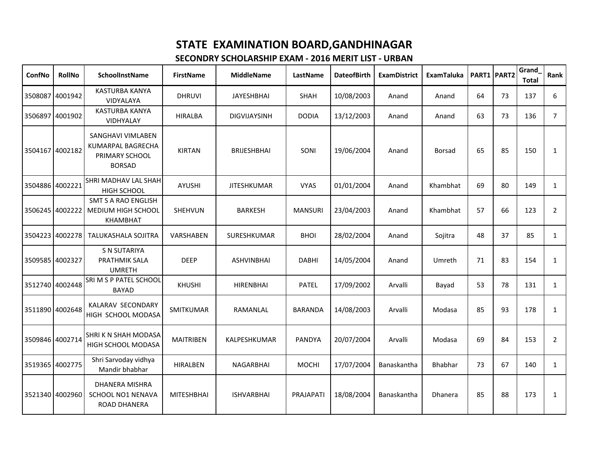| ConfNo          | <b>RollNo</b>   | <b>SchoolInstName</b>                                                            | <b>FirstName</b>  | <b>MiddleName</b>   | LastName       | <b>DateofBirth</b> | <b>ExamDistrict</b> | <b>ExamTaluka</b> | PART1 PART2 |    | Grand<br><b>Total</b> | Rank           |
|-----------------|-----------------|----------------------------------------------------------------------------------|-------------------|---------------------|----------------|--------------------|---------------------|-------------------|-------------|----|-----------------------|----------------|
|                 | 3508087 4001942 | <b>KASTURBA KANYA</b><br>VIDYALAYA                                               | <b>DHRUVI</b>     | <b>JAYESHBHAI</b>   | SHAH           | 10/08/2003         | Anand               | Anand             | 64          | 73 | 137                   | 6              |
|                 | 3506897 4001902 | <b>KASTURBA KANYA</b><br>VIDHYALAY                                               | <b>HIRALBA</b>    | <b>DIGVIJAYSINH</b> | <b>DODIA</b>   | 13/12/2003         | Anand               | Anand             | 63          | 73 | 136                   | $\overline{7}$ |
| 3504167 4002182 |                 | SANGHAVI VIMLABEN<br><b>KUMARPAL BAGRECHA</b><br>PRIMARY SCHOOL<br><b>BORSAD</b> | <b>KIRTAN</b>     | <b>BRIJESHBHAI</b>  | SONI           | 19/06/2004         | Anand               | <b>Borsad</b>     | 65          | 85 | 150                   | $\mathbf{1}$   |
| 3504886 4002221 |                 | SHRI MADHAV LAL SHAH<br><b>HIGH SCHOOL</b>                                       | AYUSHI            | <b>JITESHKUMAR</b>  | <b>VYAS</b>    | 01/01/2004         | Anand               | Khambhat          | 69          | 80 | 149                   | $\mathbf{1}$   |
| 3506245 4002222 |                 | <b>SMT S A RAO ENGLISH</b><br>MEDIUM HIGH SCHOOL<br><b>KHAMBHAT</b>              | SHEHVUN           | <b>BARKESH</b>      | <b>MANSURI</b> | 23/04/2003         | Anand               | Khambhat          | 57          | 66 | 123                   | $\overline{2}$ |
| 3504223 4002278 |                 | TALUKASHALA SOJITRA                                                              | <b>VARSHABEN</b>  | <b>SURESHKUMAR</b>  | <b>BHOI</b>    | 28/02/2004         | Anand               | Sojitra           | 48          | 37 | 85                    | $\mathbf{1}$   |
| 3509585 4002327 |                 | <b>S N SUTARIYA</b><br>PRATHMIK SALA<br><b>UMRETH</b>                            | <b>DEEP</b>       | <b>ASHVINBHAI</b>   | <b>DABHI</b>   | 14/05/2004         | Anand               | Umreth            | 71          | 83 | 154                   | $\mathbf{1}$   |
|                 | 3512740 4002448 | SRI M S P PATEL SCHOOL<br><b>BAYAD</b>                                           | <b>KHUSHI</b>     | <b>HIRENBHAI</b>    | <b>PATEL</b>   | 17/09/2002         | Arvalli             | Bayad             | 53          | 78 | 131                   | $\mathbf{1}$   |
| 3511890 4002648 |                 | KALARAV SECONDARY<br>HIGH SCHOOL MODASA                                          | <b>SMITKUMAR</b>  | RAMANLAL            | <b>BARANDA</b> | 14/08/2003         | Arvalli             | Modasa            | 85          | 93 | 178                   | $\mathbf{1}$   |
| 3509846 4002714 |                 | SHRIK N SHAH MODASA<br>HIGH SCHOOL MODASA                                        | <b>MAITRIBEN</b>  | KALPESHKUMAR        | PANDYA         | 20/07/2004         | Arvalli             | Modasa            | 69          | 84 | 153                   | $\overline{2}$ |
|                 | 3519365 4002775 | Shri Sarvoday vidhya<br>Mandir bhabhar                                           | <b>HIRALBEN</b>   | <b>NAGARBHAI</b>    | <b>MOCHI</b>   | 17/07/2004         | Banaskantha         | Bhabhar           | 73          | 67 | 140                   | $\mathbf{1}$   |
|                 | 3521340 4002960 | DHANERA MISHRA<br>SCHOOL NO1 NENAVA<br><b>ROAD DHANERA</b>                       | <b>MITESHBHAI</b> | <b>ISHVARBHAI</b>   | PRAJAPATI      | 18/08/2004         | Banaskantha         | <b>Dhanera</b>    | 85          | 88 | 173                   | 1              |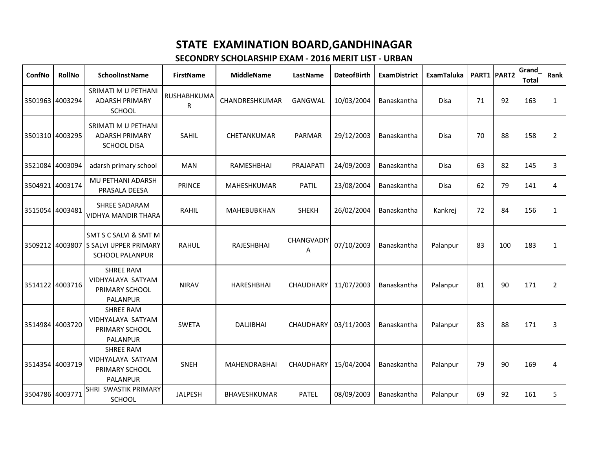| ConfNo          | <b>RollNo</b>   | <b>SchoolInstName</b>                                                                    | <b>FirstName</b> | <b>MiddleName</b> | LastName               | <b>DateofBirth</b> | <b>ExamDistrict</b> | <b>ExamTaluka</b> |    | PART1 PART2 | Grand<br><b>Total</b> | Rank           |
|-----------------|-----------------|------------------------------------------------------------------------------------------|------------------|-------------------|------------------------|--------------------|---------------------|-------------------|----|-------------|-----------------------|----------------|
|                 | 3501963 4003294 | SRIMATI M U PETHANI<br><b>ADARSH PRIMARY</b><br>SCHOOL                                   | RUSHABHKUMA<br>R | CHANDRESHKUMAR    | GANGWAL                | 10/03/2004         | Banaskantha         | <b>Disa</b>       | 71 | 92          | 163                   | $\mathbf{1}$   |
|                 | 3501310 4003295 | SRIMATI M U PETHANI<br><b>ADARSH PRIMARY</b><br><b>SCHOOL DISA</b>                       | SAHIL            | CHETANKUMAR       | PARMAR                 | 29/12/2003         | Banaskantha         | <b>Disa</b>       | 70 | 88          | 158                   | 2              |
|                 | 3521084 4003094 | adarsh primary school                                                                    | <b>MAN</b>       | RAMESHBHAI        | PRAJAPATI              | 24/09/2003         | Banaskantha         | <b>Disa</b>       | 63 | 82          | 145                   | 3              |
| 3504921         | 4003174         | MU PETHANI ADARSH<br>PRASALA DEESA                                                       | <b>PRINCE</b>    | MAHESHKUMAR       | <b>PATIL</b>           | 23/08/2004         | Banaskantha         | Disa              | 62 | 79          | 141                   | 4              |
|                 | 3515054 4003481 | <b>SHREE SADARAM</b><br><b>VIDHYA MANDIR THARA</b>                                       | RAHIL            | MAHEBUBKHAN       | <b>SHEKH</b>           | 26/02/2004         | Banaskantha         | Kankrej           | 72 | 84          | 156                   | $\mathbf{1}$   |
|                 |                 | SMT S C SALVI & SMT M<br>3509212 4003807 S SALVI UPPER PRIMARY<br><b>SCHOOL PALANPUR</b> | <b>RAHUL</b>     | RAJESHBHAI        | <b>CHANGVADIY</b><br>Α | 07/10/2003         | Banaskantha         | Palanpur          | 83 | 100         | 183                   | $\mathbf{1}$   |
|                 | 3514122 4003716 | <b>SHREE RAM</b><br>VIDHYALAYA SATYAM<br>PRIMARY SCHOOL<br>PALANPUR                      | <b>NIRAV</b>     | <b>HARESHBHAI</b> | CHAUDHARY              | 11/07/2003         | Banaskantha         | Palanpur          | 81 | 90          | 171                   | $\overline{2}$ |
|                 | 3514984 4003720 | <b>SHREE RAM</b><br>VIDHYALAYA SATYAM<br>PRIMARY SCHOOL<br><b>PALANPUR</b>               | <b>SWETA</b>     | <b>DALJIBHAI</b>  | <b>CHAUDHARY</b>       | 03/11/2003         | Banaskantha         | Palanpur          | 83 | 88          | 171                   | 3              |
|                 | 3514354 4003719 | <b>SHREE RAM</b><br>VIDHYALAYA SATYAM<br>PRIMARY SCHOOL<br><b>PALANPUR</b>               | <b>SNEH</b>      | MAHENDRABHAI      | <b>CHAUDHARY</b>       | 15/04/2004         | Banaskantha         | Palanpur          | 79 | 90          | 169                   | $\overline{4}$ |
| 3504786 4003771 |                 | SHRI SWASTIK PRIMARY<br>SCHOOL                                                           | <b>JALPESH</b>   | BHAVESHKUMAR      | <b>PATEL</b>           | 08/09/2003         | Banaskantha         | Palanpur          | 69 | 92          | 161                   | 5              |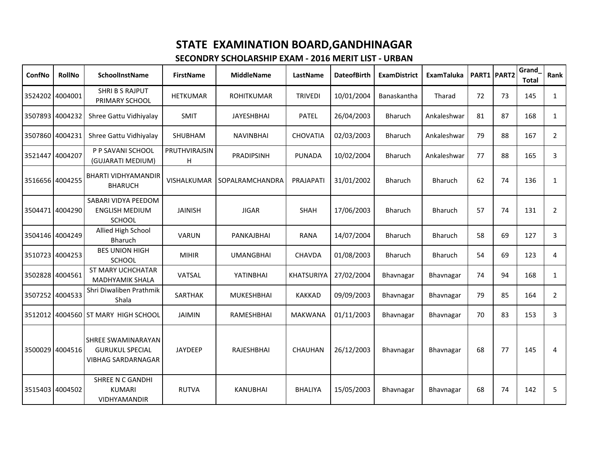| ConfNo          | <b>RollNo</b>   | <b>SchoolInstName</b>                                                     | <b>FirstName</b>   | <b>MiddleName</b>      | LastName          | <b>DateofBirth</b> | <b>ExamDistrict</b> | <b>ExamTaluka</b> |    | PART1 PART2 | Grand<br><b>Total</b> | Rank           |
|-----------------|-----------------|---------------------------------------------------------------------------|--------------------|------------------------|-------------------|--------------------|---------------------|-------------------|----|-------------|-----------------------|----------------|
|                 | 3524202 4004001 | <b>SHRI B S RAJPUT</b><br>PRIMARY SCHOOL                                  | <b>HETKUMAR</b>    | <b>ROHITKUMAR</b>      | <b>TRIVEDI</b>    | 10/01/2004         | Banaskantha         | Tharad            | 72 | 73          | 145                   | $\mathbf{1}$   |
|                 | 3507893 4004232 | Shree Gattu Vidhiyalay                                                    | <b>SMIT</b>        | <b>JAYESHBHAI</b>      | <b>PATEL</b>      | 26/04/2003         | <b>Bharuch</b>      | Ankaleshwar       | 81 | 87          | 168                   | $\mathbf{1}$   |
| 3507860 4004231 |                 | Shree Gattu Vidhiyalay                                                    | SHUBHAM            | <b>NAVINBHAI</b>       | <b>CHOVATIA</b>   | 02/03/2003         | <b>Bharuch</b>      | Ankaleshwar       | 79 | 88          | 167                   | $\overline{2}$ |
|                 | 3521447 4004207 | P P SAVANI SCHOOL<br>(GUJARATI MEDIUM)                                    | PRUTHVIRAJSIN<br>H | PRADIPSINH             | <b>PUNADA</b>     | 10/02/2004         | <b>Bharuch</b>      | Ankaleshwar       | 77 | 88          | 165                   | 3              |
|                 | 3516656 4004255 | <b>BHARTI VIDHYAMANDIR</b><br><b>BHARUCH</b>                              | VISHALKUMAR        | <b>SOPALRAMCHANDRA</b> | PRAJAPATI         | 31/01/2002         | <b>Bharuch</b>      | <b>Bharuch</b>    | 62 | 74          | 136                   | $\mathbf{1}$   |
|                 | 3504471 4004290 | SABARI VIDYA PEEDOM<br><b>ENGLISH MEDIUM</b><br><b>SCHOOL</b>             | <b>JAINISH</b>     | <b>JIGAR</b>           | <b>SHAH</b>       | 17/06/2003         | <b>Bharuch</b>      | <b>Bharuch</b>    | 57 | 74          | 131                   | $\overline{2}$ |
|                 | 3504146 4004249 | Allied High School<br>Bharuch                                             | <b>VARUN</b>       | PANKAJBHAI             | <b>RANA</b>       | 14/07/2004         | <b>Bharuch</b>      | <b>Bharuch</b>    | 58 | 69          | 127                   | 3              |
|                 | 3510723 4004253 | <b>BES UNION HIGH</b><br><b>SCHOOL</b>                                    | <b>MIHIR</b>       | <b>UMANGBHAI</b>       | <b>CHAVDA</b>     | 01/08/2003         | <b>Bharuch</b>      | Bharuch           | 54 | 69          | 123                   | 4              |
|                 | 3502828 4004561 | <b>ST MARY UCHCHATAR</b><br><b>MADHYAMIK SHALA</b>                        | VATSAL             | YATINBHAI              | <b>KHATSURIYA</b> | 27/02/2004         | Bhavnagar           | Bhavnagar         | 74 | 94          | 168                   | $\mathbf{1}$   |
| 3507252 4004533 |                 | Shri Diwaliben Prathmik<br>Shala                                          | SARTHAK            | <b>MUKESHBHAI</b>      | <b>KAKKAD</b>     | 09/09/2003         | Bhavnagar           | Bhavnagar         | 79 | 85          | 164                   | $\overline{2}$ |
|                 |                 | 3512012 4004560 ST MARY HIGH SCHOOL                                       | <b>JAIMIN</b>      | RAMESHBHAI             | <b>MAKWANA</b>    | 01/11/2003         | Bhavnagar           | Bhavnagar         | 70 | 83          | 153                   | 3              |
|                 | 3500029 4004516 | SHREE SWAMINARAYAN<br><b>GURUKUL SPECIAL</b><br><b>VIBHAG SARDARNAGAR</b> | JAYDEEP            | RAJESHBHAI             | <b>CHAUHAN</b>    | 26/12/2003         | Bhavnagar           | Bhavnagar         | 68 | 77          | 145                   | 4              |
|                 | 3515403 4004502 | <b>SHREE N C GANDHI</b><br><b>KUMARI</b><br><b>VIDHYAMANDIR</b>           | <b>RUTVA</b>       | <b>KANUBHAI</b>        | <b>BHALIYA</b>    | 15/05/2003         | Bhavnagar           | Bhavnagar         | 68 | 74          | 142                   | 5              |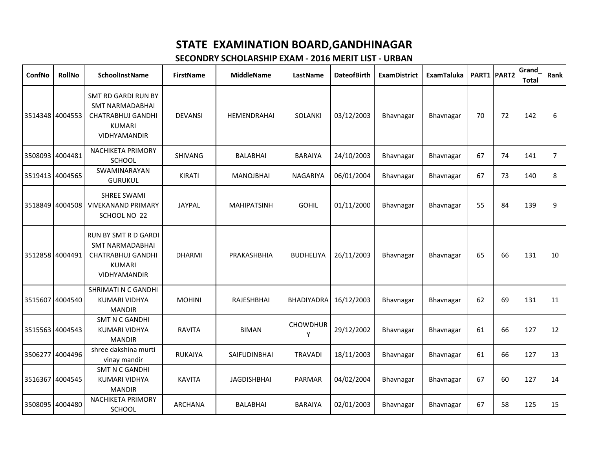| ConfNo          | RollNo          | SchoolInstName                                                                                                     | <b>FirstName</b> | <b>MiddleName</b>  | LastName             | <b>DateofBirth</b> | <b>ExamDistrict</b> | <b>ExamTaluka</b> |    | PART1 PART2 | Grand<br><b>Total</b> | Rank           |
|-----------------|-----------------|--------------------------------------------------------------------------------------------------------------------|------------------|--------------------|----------------------|--------------------|---------------------|-------------------|----|-------------|-----------------------|----------------|
| 3514348 4004553 |                 | <b>SMT RD GARDI RUN BY</b><br><b>SMT NARMADABHAI</b><br><b>CHATRABHUJ GANDHI</b><br><b>KUMARI</b><br>VIDHYAMANDIR  | <b>DEVANSI</b>   | HEMENDRAHAI        | <b>SOLANKI</b>       | 03/12/2003         | Bhavnagar           | Bhavnagar         | 70 | 72          | 142                   | 6              |
| 3508093 4004481 |                 | NACHIKETA PRIMORY<br>SCHOOL                                                                                        | SHIVANG          | <b>BALABHAI</b>    | <b>BARAIYA</b>       | 24/10/2003         | Bhavnagar           | Bhavnagar         | 67 | 74          | 141                   | $\overline{7}$ |
|                 | 3519413 4004565 | SWAMINARAYAN<br><b>GURUKUL</b>                                                                                     | KIRATI           | <b>MANOJBHAI</b>   | NAGARIYA             | 06/01/2004         | Bhavnagar           | Bhavnagar         | 67 | 73          | 140                   | 8              |
| 3518849 4004508 |                 | <b>SHREE SWAMI</b><br><b>VIVEKANAND PRIMARY</b><br>SCHOOL NO 22                                                    | <b>JAYPAL</b>    | <b>MAHIPATSINH</b> | <b>GOHIL</b>         | 01/11/2000         | Bhavnagar           | Bhavnagar         | 55 | 84          | 139                   | 9              |
| 3512858 4004491 |                 | <b>RUN BY SMT R D GARDI</b><br><b>SMT NARMADABHAI</b><br><b>CHATRABHUJ GANDHI</b><br><b>KUMARI</b><br>VIDHYAMANDIR | <b>DHARMI</b>    | PRAKASHBHIA        | <b>BUDHELIYA</b>     | 26/11/2003         | Bhavnagar           | Bhavnagar         | 65 | 66          | 131                   | 10             |
|                 | 3515607 4004540 | SHRIMATI N C GANDHI<br><b>KUMARI VIDHYA</b><br><b>MANDIR</b>                                                       | <b>MOHINI</b>    | RAJESHBHAI         | BHADIYADRA           | 16/12/2003         | Bhavnagar           | Bhavnagar         | 62 | 69          | 131                   | 11             |
| 3515563 4004543 |                 | <b>SMT N C GANDHI</b><br><b>KUMARI VIDHYA</b><br><b>MANDIR</b>                                                     | <b>RAVITA</b>    | <b>BIMAN</b>       | <b>CHOWDHUR</b><br>Υ | 29/12/2002         | Bhavnagar           | Bhavnagar         | 61 | 66          | 127                   | 12             |
|                 | 3506277 4004496 | shree dakshina murti<br>vinay mandir                                                                               | <b>RUKAIYA</b>   | SAIFUDINBHAI       | <b>TRAVADI</b>       | 18/11/2003         | Bhavnagar           | Bhavnagar         | 61 | 66          | 127                   | 13             |
|                 | 3516367 4004545 | <b>SMT N C GANDHI</b><br><b>KUMARI VIDHYA</b><br><b>MANDIR</b>                                                     | <b>KAVITA</b>    | <b>JAGDISHBHAI</b> | PARMAR               | 04/02/2004         | Bhavnagar           | Bhavnagar         | 67 | 60          | 127                   | 14             |
| 3508095 4004480 |                 | <b>NACHIKETA PRIMORY</b><br>SCHOOL                                                                                 | ARCHANA          | <b>BALABHAI</b>    | <b>BARAIYA</b>       | 02/01/2003         | Bhavnagar           | Bhavnagar         | 67 | 58          | 125                   | 15             |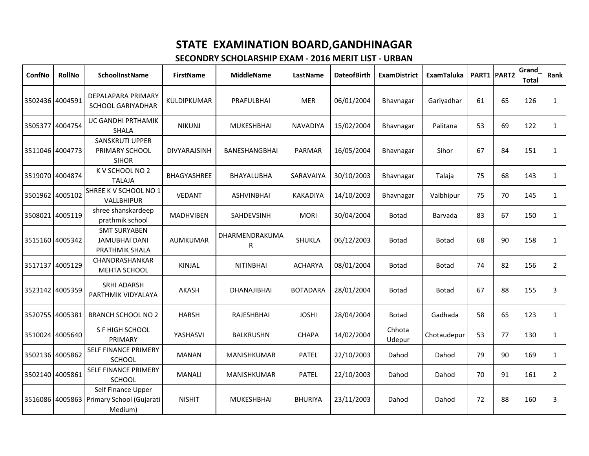| ConfNo          | <b>RollNo</b>   | SchoolInstName                                                            | <b>FirstName</b> | <b>MiddleName</b>   | LastName        | <b>DateofBirth</b> | <b>ExamDistrict</b> | <b>ExamTaluka</b> |    | PART1 PART2 | Grand<br><b>Total</b> | Rank           |
|-----------------|-----------------|---------------------------------------------------------------------------|------------------|---------------------|-----------------|--------------------|---------------------|-------------------|----|-------------|-----------------------|----------------|
| 3502436 4004591 |                 | <b>DEPALAPARA PRIMARY</b><br><b>SCHOOL GARIYADHAR</b>                     | KULDIPKUMAR      | PRAFULBHAI          | <b>MER</b>      | 06/01/2004         | Bhavnagar           | Gariyadhar        | 61 | 65          | 126                   | $\mathbf{1}$   |
|                 | 3505377 4004754 | UC GANDHI PRTHAMIK<br><b>SHALA</b>                                        | <b>NIKUNJ</b>    | <b>MUKESHBHAI</b>   | <b>NAVADIYA</b> | 15/02/2004         | Bhavnagar           | Palitana          | 53 | 69          | 122                   | $\mathbf{1}$   |
| 3511046 4004773 |                 | <b>SANSKRUTI UPPER</b><br>PRIMARY SCHOOL<br><b>SIHOR</b>                  | DIVYARAJSINH     | BANESHANGBHAI       | PARMAR          | 16/05/2004         | Bhavnagar           | Sihor             | 67 | 84          | 151                   | $\mathbf{1}$   |
|                 | 3519070 4004874 | K V SCHOOL NO 2<br><b>TALAJA</b>                                          | BHAGYASHREE      | BHAYALUBHA          | SARAVAIYA       | 30/10/2003         | Bhavnagar           | Talaja            | 75 | 68          | 143                   | $\mathbf{1}$   |
|                 | 3501962 4005102 | SHREE K V SCHOOL NO 1<br>VALLBHIPUR                                       | <b>VEDANT</b>    | <b>ASHVINBHAI</b>   | <b>KAKADIYA</b> | 14/10/2003         | Bhavnagar           | Valbhipur         | 75 | 70          | 145                   | $\mathbf{1}$   |
|                 | 3508021 4005119 | shree shanskardeep<br>prathmik school                                     | <b>MADHVIBEN</b> | <b>SAHDEVSINH</b>   | <b>MORI</b>     | 30/04/2004         | <b>Botad</b>        | Barvada           | 83 | 67          | 150                   | $\mathbf{1}$   |
|                 | 3515160 4005342 | <b>SMT SURYABEN</b><br><b>JAMUBHAI DANI</b><br>PRATHMIK SHALA             | <b>AUMKUMAR</b>  | DHARMENDRAKUMA<br>R | SHUKLA          | 06/12/2003         | Botad               | <b>Botad</b>      | 68 | 90          | 158                   | $\mathbf{1}$   |
|                 | 3517137 4005129 | CHANDRASHANKAR<br>MEHTA SCHOOL                                            | KINJAL           | <b>NITINBHAI</b>    | <b>ACHARYA</b>  | 08/01/2004         | Botad               | <b>Botad</b>      | 74 | 82          | 156                   | $\overline{2}$ |
| 3523142 4005359 |                 | <b>SRHI ADARSH</b><br>PARTHMIK VIDYALAYA                                  | AKASH            | DHANAJIBHAI         | <b>BOTADARA</b> | 28/01/2004         | <b>Botad</b>        | <b>Botad</b>      | 67 | 88          | 155                   | 3              |
| 3520755 4005381 |                 | <b>BRANCH SCHOOL NO 2</b>                                                 | <b>HARSH</b>     | RAJESHBHAI          | <b>JOSHI</b>    | 28/04/2004         | <b>Botad</b>        | Gadhada           | 58 | 65          | 123                   | $\mathbf{1}$   |
|                 | 3510024 4005640 | S F HIGH SCHOOL<br>PRIMARY                                                | YASHASVI         | <b>BALKRUSHN</b>    | <b>CHAPA</b>    | 14/02/2004         | Chhota<br>Udepur    | Chotaudepur       | 53 | 77          | 130                   | $\mathbf{1}$   |
|                 | 3502136 4005862 | SELF FINANCE PRIMERY<br><b>SCHOOL</b>                                     | <b>MANAN</b>     | MANISHKUMAR         | <b>PATEL</b>    | 22/10/2003         | Dahod               | Dahod             | 79 | 90          | 169                   | $\mathbf{1}$   |
| 3502140 4005861 |                 | SELF FINANCE PRIMERY<br><b>SCHOOL</b>                                     | <b>MANALI</b>    | <b>MANISHKUMAR</b>  | <b>PATEL</b>    | 22/10/2003         | Dahod               | Dahod             | 70 | 91          | 161                   | $\overline{2}$ |
|                 |                 | Self Finance Upper<br>3516086 4005863 Primary School (Gujarati<br>Medium) | <b>NISHIT</b>    | <b>MUKESHBHAI</b>   | <b>BHURIYA</b>  | 23/11/2003         | Dahod               | Dahod             | 72 | 88          | 160                   | 3              |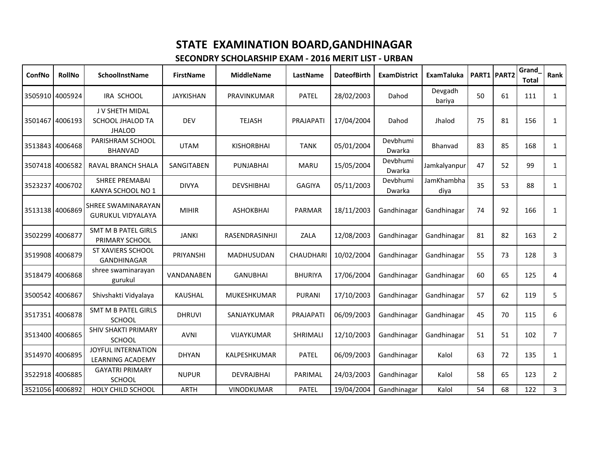| ConfNo          | <b>RollNo</b>   | <b>SchoolInstName</b>                                       | <b>FirstName</b>  | <b>MiddleName</b>  | LastName         | <b>DateofBirth</b> | <b>ExamDistrict</b> | <b>ExamTaluka</b>  |    | PART1 PART2 | Grand<br><b>Total</b> | Rank           |
|-----------------|-----------------|-------------------------------------------------------------|-------------------|--------------------|------------------|--------------------|---------------------|--------------------|----|-------------|-----------------------|----------------|
|                 | 3505910 4005924 | IRA SCHOOL                                                  | <b>JAYKISHAN</b>  | PRAVINKUMAR        | <b>PATEL</b>     | 28/02/2003         | Dahod               | Devgadh<br>bariya  | 50 | 61          | 111                   | $\mathbf{1}$   |
|                 | 3501467 4006193 | J V SHETH MIDAL<br><b>SCHOOL JHALOD TA</b><br><b>JHALOD</b> | <b>DEV</b>        | <b>TEJASH</b>      | PRAJAPATI        | 17/04/2004         | Dahod               | Jhalod             | 75 | 81          | 156                   | $\mathbf{1}$   |
|                 | 3513843 4006468 | PARISHRAM SCHOOL<br><b>BHANVAD</b>                          | <b>UTAM</b>       | <b>KISHORBHAI</b>  | <b>TANK</b>      | 05/01/2004         | Devbhumi<br>Dwarka  | Bhanvad            | 83 | 85          | 168                   | $\mathbf{1}$   |
| 3507418 4006582 |                 | RAVAL BRANCH SHALA                                          | <b>SANGITABEN</b> | <b>PUNJABHAI</b>   | <b>MARU</b>      | 15/05/2004         | Devbhumi<br>Dwarka  | Jamkalyanpur       | 47 | 52          | 99                    | $\mathbf{1}$   |
|                 | 3523237 4006702 | <b>SHREE PREMABAI</b><br>KANYA SCHOOL NO 1                  | <b>DIVYA</b>      | <b>DEVSHIBHAI</b>  | <b>GAGIYA</b>    | 05/11/2003         | Devbhumi<br>Dwarka  | JamKhambha<br>diya | 35 | 53          | 88                    | $\mathbf{1}$   |
| 3513138 4006869 |                 | SHREE SWAMINARAYAN<br><b>GURUKUL VIDYALAYA</b>              | <b>MIHIR</b>      | <b>ASHOKBHAI</b>   | <b>PARMAR</b>    | 18/11/2003         | Gandhinagar         | Gandhinagar        | 74 | 92          | 166                   | 1              |
|                 | 3502299 4006877 | <b>SMT M B PATEL GIRLS</b><br>PRIMARY SCHOOL                | <b>JANKI</b>      | RASENDRASINHJI     | ZALA             | 12/08/2003         | Gandhinagar         | Gandhinagar        | 81 | 82          | 163                   | $\overline{2}$ |
|                 | 3519908 4006879 | <b>ST XAVIERS SCHOOL</b><br><b>GANDHINAGAR</b>              | PRIYANSHI         | MADHUSUDAN         | <b>CHAUDHARI</b> | 10/02/2004         | Gandhinagar         | Gandhinagar        | 55 | 73          | 128                   | 3              |
|                 | 3518479 4006868 | shree swaminarayan<br>gurukul                               | VANDANABEN        | <b>GANUBHAI</b>    | <b>BHURIYA</b>   | 17/06/2004         | Gandhinagar         | Gandhinagar        | 60 | 65          | 125                   | 4              |
|                 | 3500542 4006867 | Shivshakti Vidyalaya                                        | <b>KAUSHAL</b>    | <b>MUKESHKUMAR</b> | <b>PURANI</b>    | 17/10/2003         | Gandhinagar         | Gandhinagar        | 57 | 62          | 119                   | 5              |
|                 | 3517351 4006878 | <b>SMT M B PATEL GIRLS</b><br><b>SCHOOL</b>                 | <b>DHRUVI</b>     | SANJAYKUMAR        | PRAJAPATI        | 06/09/2003         | Gandhinagar         | Gandhinagar        | 45 | 70          | 115                   | 6              |
|                 | 3513400 4006865 | <b>SHIV SHAKTI PRIMARY</b><br><b>SCHOOL</b>                 | <b>AVNI</b>       | VIJAYKUMAR         | <b>SHRIMALI</b>  | 12/10/2003         | Gandhinagar         | Gandhinagar        | 51 | 51          | 102                   | $\overline{7}$ |
| 3514970 4006895 |                 | <b>JOYFUL INTERNATION</b><br><b>LEARNING ACADEMY</b>        | <b>DHYAN</b>      | KALPESHKUMAR       | <b>PATEL</b>     | 06/09/2003         | Gandhinagar         | Kalol              | 63 | 72          | 135                   | $\mathbf{1}$   |
|                 | 3522918 4006885 | <b>GAYATRI PRIMARY</b><br><b>SCHOOL</b>                     | <b>NUPUR</b>      | <b>DEVRAJBHAI</b>  | PARIMAL          | 24/03/2003         | Gandhinagar         | Kalol              | 58 | 65          | 123                   | $\overline{2}$ |
| 3521056 4006892 |                 | <b>HOLY CHILD SCHOOL</b>                                    | ARTH              | <b>VINODKUMAR</b>  | <b>PATEL</b>     | 19/04/2004         | Gandhinagar         | Kalol              | 54 | 68          | 122                   | $\mathbf{3}$   |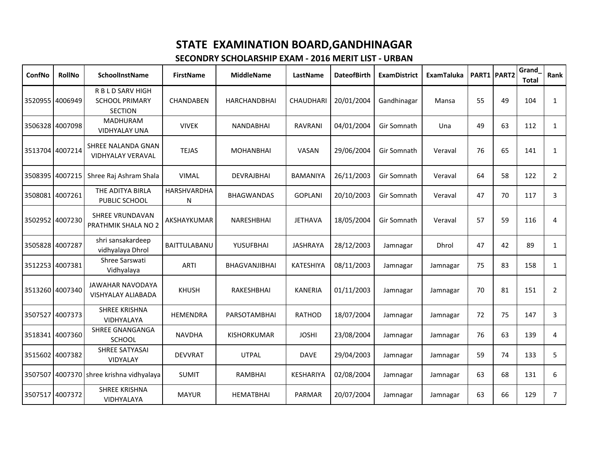| ConfNo          | RollNo          | SchoolInstName                                               | <b>FirstName</b> | <b>MiddleName</b>    | LastName         | <b>DateofBirth</b> | <b>ExamDistrict</b> | <b>ExamTaluka</b> |    | PART1 PART2 | Grand<br><b>Total</b> | Rank           |
|-----------------|-----------------|--------------------------------------------------------------|------------------|----------------------|------------------|--------------------|---------------------|-------------------|----|-------------|-----------------------|----------------|
|                 | 3520955 4006949 | R B L D SARV HIGH<br><b>SCHOOL PRIMARY</b><br><b>SECTION</b> | CHANDABEN        | HARCHANDBHAI         | <b>CHAUDHARI</b> | 20/01/2004         | Gandhinagar         | Mansa             | 55 | 49          | 104                   | $\mathbf{1}$   |
|                 | 3506328 4007098 | <b>MADHURAM</b><br><b>VIDHYALAY UNA</b>                      | <b>VIVEK</b>     | <b>NANDABHAI</b>     | <b>RAVRANI</b>   | 04/01/2004         | Gir Somnath         | Una               | 49 | 63          | 112                   | $\mathbf{1}$   |
| 3513704 4007214 |                 | SHREE NALANDA GNAN<br>VIDHYALAY VERAVAL                      | <b>TEJAS</b>     | <b>MOHANBHAI</b>     | <b>VASAN</b>     | 29/06/2004         | Gir Somnath         | Veraval           | 76 | 65          | 141                   | $\mathbf{1}$   |
| 3508395 4007215 |                 | Shree Raj Ashram Shala                                       | <b>VIMAL</b>     | <b>DEVRAJBHAI</b>    | <b>BAMANIYA</b>  | 26/11/2003         | Gir Somnath         | Veraval           | 64 | 58          | 122                   | $\overline{2}$ |
|                 | 3508081 4007261 | THE ADITYA BIRLA<br>PUBLIC SCHOOL                            | HARSHVARDHA<br>N | BHAGWANDAS           | <b>GOPLANI</b>   | 20/10/2003         | Gir Somnath         | Veraval           | 47 | 70          | 117                   | 3              |
|                 | 3502952 4007230 | <b>SHREE VRUNDAVAN</b><br><b>PRATHMIK SHALA NO 2</b>         | AKSHAYKUMAR      | NARESHBHAI           | <b>JETHAVA</b>   | 18/05/2004         | Gir Somnath         | Veraval           | 57 | 59          | 116                   | 4              |
|                 | 3505828 4007287 | shri sansakardeep<br>vidhyalaya Dhrol                        | BAITTULABANU     | YUSUFBHAI            | <b>JASHRAYA</b>  | 28/12/2003         | Jamnagar            | Dhrol             | 47 | 42          | 89                    | $\mathbf{1}$   |
|                 | 3512253 4007381 | Shree Sarswati<br>Vidhyalaya                                 | <b>ARTI</b>      | <b>BHAGVANJIBHAI</b> | KATESHIYA        | 08/11/2003         | Jamnagar            | Jamnagar          | 75 | 83          | 158                   | $\mathbf{1}$   |
|                 | 3513260 4007340 | JAWAHAR NAVODAYA<br><b>VISHYALAY ALIABADA</b>                | <b>KHUSH</b>     | RAKESHBHAI           | <b>KANERIA</b>   | 01/11/2003         | Jamnagar            | Jamnagar          | 70 | 81          | 151                   | $\overline{2}$ |
|                 | 3507527 4007373 | <b>SHREE KRISHNA</b><br><b>VIDHYALAYA</b>                    | <b>HEMENDRA</b>  | PARSOTAMBHAI         | <b>RATHOD</b>    | 18/07/2004         | Jamnagar            | Jamnagar          | 72 | 75          | 147                   | 3              |
|                 | 3518341 4007360 | <b>SHREE GNANGANGA</b><br>SCHOOL                             | <b>NAVDHA</b>    | KISHORKUMAR          | <b>JOSHI</b>     | 23/08/2004         | Jamnagar            | Jamnagar          | 76 | 63          | 139                   | 4              |
|                 | 3515602 4007382 | SHREE SATYASAI<br><b>VIDYALAY</b>                            | <b>DEVVRAT</b>   | <b>UTPAL</b>         | <b>DAVE</b>      | 29/04/2003         | Jamnagar            | Jamnagar          | 59 | 74          | 133                   | 5              |
|                 |                 | 3507507 4007370 shree krishna vidhyalaya                     | <b>SUMIT</b>     | <b>RAMBHAI</b>       | <b>KESHARIYA</b> | 02/08/2004         | Jamnagar            | Jamnagar          | 63 | 68          | 131                   | 6              |
| 3507517 4007372 |                 | <b>SHREE KRISHNA</b><br><b>VIDHYALAYA</b>                    | <b>MAYUR</b>     | <b>HEMATBHAI</b>     | <b>PARMAR</b>    | 20/07/2004         | Jamnagar            | Jamnagar          | 63 | 66          | 129                   | $\overline{7}$ |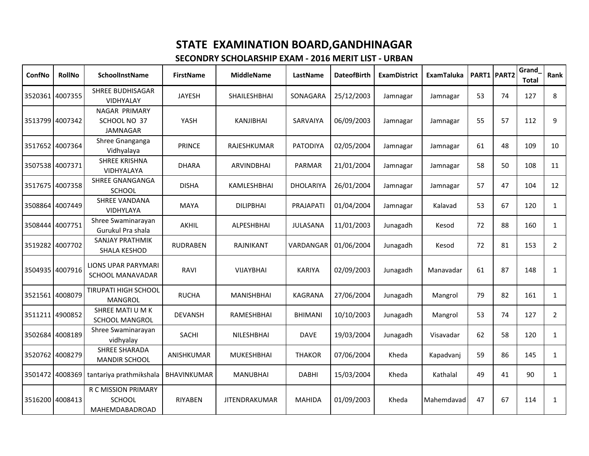| ConfNo          | <b>RollNo</b>   | <b>SchoolInstName</b>                                  | <b>FirstName</b>   | <b>MiddleName</b>    | LastName         | <b>DateofBirth</b> | <b>ExamDistrict</b> | ExamTaluka |    | PART1 PART2 | Grand<br><b>Total</b> | Rank           |
|-----------------|-----------------|--------------------------------------------------------|--------------------|----------------------|------------------|--------------------|---------------------|------------|----|-------------|-----------------------|----------------|
|                 | 3520361 4007355 | <b>SHREE BUDHISAGAR</b><br>VIDHYALAY                   | <b>JAYESH</b>      | SHAILESHBHAI         | SONAGARA         | 25/12/2003         | Jamnagar            | Jamnagar   | 53 | 74          | 127                   | 8              |
|                 | 3513799 4007342 | NAGAR PRIMARY<br>SCHOOL NO 37<br><b>JAMNAGAR</b>       | YASH               | KANJIBHAI            | <b>SARVAIYA</b>  | 06/09/2003         | Jamnagar            | Jamnagar   | 55 | 57          | 112                   | 9              |
|                 | 3517652 4007364 | Shree Gnanganga<br>Vidhyalaya                          | <b>PRINCE</b>      | RAJESHKUMAR          | <b>PATODIYA</b>  | 02/05/2004         | Jamnagar            | Jamnagar   | 61 | 48          | 109                   | 10             |
|                 | 3507538 4007371 | <b>SHREE KRISHNA</b><br>VIDHYALAYA                     | <b>DHARA</b>       | <b>ARVINDBHAI</b>    | <b>PARMAR</b>    | 21/01/2004         | Jamnagar            | Jamnagar   | 58 | 50          | 108                   | 11             |
|                 | 3517675 4007358 | SHREE GNANGANGA<br><b>SCHOOL</b>                       | <b>DISHA</b>       | KAMLESHBHAI          | <b>DHOLARIYA</b> | 26/01/2004         | Jamnagar            | Jamnagar   | 57 | 47          | 104                   | 12             |
| 3508864         | 4007449         | SHREE VANDANA<br>VIDHYLAYA                             | <b>MAYA</b>        | <b>DILIPBHAI</b>     | PRAJAPATI        | 01/04/2004         | Jamnagar            | Kalavad    | 53 | 67          | 120                   | $\mathbf{1}$   |
| 3508444         | 4007751         | Shree Swaminarayan<br>Gurukul Pra shala                | <b>AKHIL</b>       | <b>ALPESHBHAI</b>    | <b>JULASANA</b>  | 11/01/2003         | Junagadh            | Kesod      | 72 | 88          | 160                   | $\mathbf{1}$   |
| 3519282         | 4007702         | <b>SANJAY PRATHMIK</b><br>SHALA KESHOD                 | <b>RUDRABEN</b>    | RAJNIKANT            | VARDANGAR        | 01/06/2004         | Junagadh            | Kesod      | 72 | 81          | 153                   | $2^{\circ}$    |
|                 | 3504935 4007916 | LIONS UPAR PARYMARI<br>SCHOOL MANAVADAR                | RAVI               | VIJAYBHAI            | <b>KARIYA</b>    | 02/09/2003         | Junagadh            | Manavadar  | 61 | 87          | 148                   | $\mathbf{1}$   |
| 3521561 4008079 |                 | <b>TIRUPATI HIGH SCHOOL</b><br><b>MANGROL</b>          | <b>RUCHA</b>       | <b>MANISHBHAI</b>    | KAGRANA          | 27/06/2004         | Junagadh            | Mangrol    | 79 | 82          | 161                   | $\mathbf{1}$   |
|                 | 3511211 4900852 | SHREE MATI U M K<br><b>SCHOOL MANGROL</b>              | <b>DEVANSH</b>     | RAMESHBHAI           | <b>BHIMANI</b>   | 10/10/2003         | Junagadh            | Mangrol    | 53 | 74          | 127                   | $\overline{2}$ |
| 3502684 4008189 |                 | Shree Swaminarayan<br>vidhyalay                        | <b>SACHI</b>       | NILESHBHAI           | <b>DAVE</b>      | 19/03/2004         | Junagadh            | Visavadar  | 62 | 58          | 120                   | $\mathbf{1}$   |
|                 | 3520762 4008279 | <b>SHREE SHARADA</b><br><b>MANDIR SCHOOL</b>           | ANISHKUMAR         | <b>MUKESHBHAI</b>    | <b>THAKOR</b>    | 07/06/2004         | Kheda               | Kapadvanj  | 59 | 86          | 145                   | $\mathbf{1}$   |
| 3501472         | 4008369         | tantariya prathmikshala                                | <b>BHAVINKUMAR</b> | <b>MANUBHAI</b>      | <b>DABHI</b>     | 15/03/2004         | Kheda               | Kathalal   | 49 | 41          | 90                    | $\mathbf{1}$   |
|                 | 3516200 4008413 | R C MISSION PRIMARY<br><b>SCHOOL</b><br>MAHEMDABADROAD | <b>RIYABEN</b>     | <b>JITENDRAKUMAR</b> | <b>MAHIDA</b>    | 01/09/2003         | Kheda               | Mahemdavad | 47 | 67          | 114                   | $\mathbf{1}$   |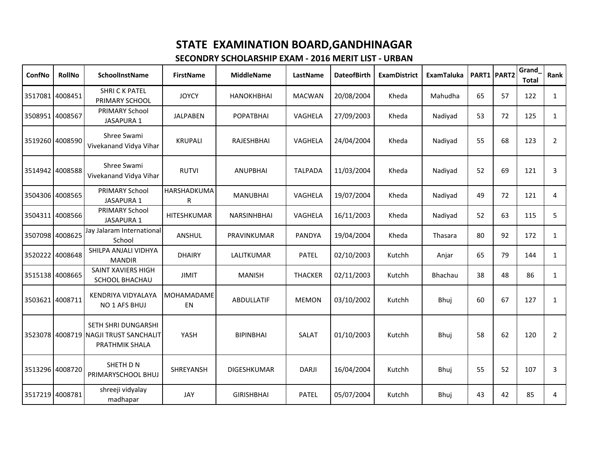| ConfNo          | <b>RollNo</b>   | SchoolInstName                                                                        | <b>FirstName</b>        | <b>MiddleName</b>  | LastName       | <b>DateofBirth</b> | <b>ExamDistrict</b> | <b>ExamTaluka</b> |    | PART1 PART2 | Grand<br><b>Total</b> | Rank           |
|-----------------|-----------------|---------------------------------------------------------------------------------------|-------------------------|--------------------|----------------|--------------------|---------------------|-------------------|----|-------------|-----------------------|----------------|
|                 | 3517081 4008451 | <b>SHRICK PATEL</b><br>PRIMARY SCHOOL                                                 | <b>JOYCY</b>            | <b>HANOKHBHAI</b>  | <b>MACWAN</b>  | 20/08/2004         | Kheda               | Mahudha           | 65 | 57          | 122                   | $\mathbf{1}$   |
| 3508951 4008567 |                 | <b>PRIMARY School</b><br>JASAPURA 1                                                   | <b>JALPABEN</b>         | <b>POPATBHAI</b>   | VAGHELA        | 27/09/2003         | Kheda               | Nadiyad           | 53 | 72          | 125                   | $\mathbf{1}$   |
|                 | 3519260 4008590 | Shree Swami<br>Vivekanand Vidya Vihar                                                 | <b>KRUPALI</b>          | RAJESHBHAI         | VAGHELA        | 24/04/2004         | Kheda               | Nadiyad           | 55 | 68          | 123                   | $\overline{2}$ |
|                 | 3514942 4008588 | Shree Swami<br>Vivekanand Vidya Vihar                                                 | <b>RUTVI</b>            | <b>ANUPBHAI</b>    | <b>TALPADA</b> | 11/03/2004         | Kheda               | Nadiyad           | 52 | 69          | 121                   | 3              |
|                 | 3504306 4008565 | PRIMARY School<br><b>JASAPURA 1</b>                                                   | HARSHADKUMA<br>R        | <b>MANUBHAI</b>    | VAGHELA        | 19/07/2004         | Kheda               | Nadiyad           | 49 | 72          | 121                   | 4              |
|                 | 3504311 4008566 | PRIMARY School<br><b>JASAPURA 1</b>                                                   | <b>HITESHKUMAR</b>      | <b>NARSINHBHAI</b> | VAGHELA        | 16/11/2003         | Kheda               | Nadiyad           | 52 | 63          | 115                   | 5              |
| 3507098 4008625 |                 | Jay Jalaram International<br>School                                                   | ANSHUL                  | PRAVINKUMAR        | PANDYA         | 19/04/2004         | Kheda               | Thasara           | 80 | 92          | 172                   | $\mathbf{1}$   |
|                 | 3520222 4008648 | SHILPA ANJALI VIDHYA<br><b>MANDIR</b>                                                 | <b>DHAIRY</b>           | LALITKUMAR         | <b>PATEL</b>   | 02/10/2003         | Kutchh              | Anjar             | 65 | 79          | 144                   | $\mathbf{1}$   |
|                 | 3515138 4008665 | <b>SAINT XAVIERS HIGH</b><br><b>SCHOOL BHACHAU</b>                                    | <b>JIMIT</b>            | <b>MANISH</b>      | <b>THACKER</b> | 02/11/2003         | Kutchh              | Bhachau           | 38 | 48          | 86                    | $\mathbf{1}$   |
| 3503621 4008711 |                 | KENDRIYA VIDYALAYA<br>NO 1 AFS BHUJ                                                   | <b>MOHAMADAME</b><br>EN | <b>ABDULLATIF</b>  | <b>MEMON</b>   | 03/10/2002         | Kutchh              | Bhuj              | 60 | 67          | 127                   | $\mathbf{1}$   |
|                 |                 | <b>SETH SHRI DUNGARSHI</b><br>3523078 4008719 NAGJI TRUST SANCHALIT<br>PRATHMIK SHALA | YASH                    | <b>BIPINBHAI</b>   | SALAT          | 01/10/2003         | Kutchh              | Bhuj              | 58 | 62          | 120                   | $\overline{2}$ |
|                 | 3513296 4008720 | SHETH D N<br>PRIMARYSCHOOL BHUJ                                                       | <b>SHREYANSH</b>        | DIGESHKUMAR        | <b>DARJI</b>   | 16/04/2004         | Kutchh              | Bhuj              | 55 | 52          | 107                   | 3              |
| 3517219 4008781 |                 | shreeji vidyalay<br>madhapar                                                          | <b>JAY</b>              | <b>GIRISHBHAI</b>  | <b>PATEL</b>   | 05/07/2004         | Kutchh              | Bhuj              | 43 | 42          | 85                    | 4              |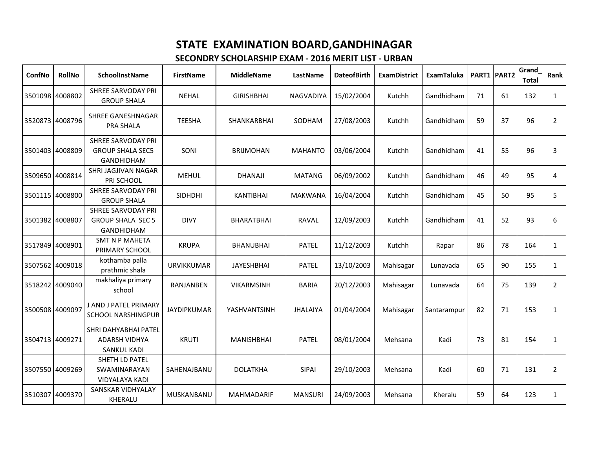| ConfNo          | <b>RollNo</b>   | <b>SchoolInstName</b>                                                     | <b>FirstName</b>   | <b>MiddleName</b> | <b>LastName</b> | <b>DateofBirth</b> | <b>ExamDistrict</b> | ExamTaluka  |    | PART1 PART2 | Grand<br><b>Total</b> | Rank           |
|-----------------|-----------------|---------------------------------------------------------------------------|--------------------|-------------------|-----------------|--------------------|---------------------|-------------|----|-------------|-----------------------|----------------|
|                 | 3501098 4008802 | <b>SHREE SARVODAY PRI</b><br><b>GROUP SHALA</b>                           | <b>NEHAL</b>       | <b>GIRISHBHAI</b> | NAGVADIYA       | 15/02/2004         | Kutchh              | Gandhidham  | 71 | 61          | 132                   | $\mathbf{1}$   |
|                 | 3520873 4008796 | SHREE GANESHNAGAR<br>PRA SHALA                                            | <b>TEESHA</b>      | SHANKARBHAI       | SODHAM          | 27/08/2003         | Kutchh              | Gandhidham  | 59 | 37          | 96                    | $\overline{2}$ |
| 3501403 4008809 |                 | <b>SHREE SARVODAY PRI</b><br><b>GROUP SHALA SEC5</b><br><b>GANDHIDHAM</b> | SONI               | <b>BRIJMOHAN</b>  | <b>MAHANTO</b>  | 03/06/2004         | Kutchh              | Gandhidham  | 41 | 55          | 96                    | 3              |
|                 | 3509650 4008814 | SHRI JAGJIVAN NAGAR<br>PRI SCHOOL                                         | <b>MEHUL</b>       | <b>DHANAJI</b>    | <b>MATANG</b>   | 06/09/2002         | Kutchh              | Gandhidham  | 46 | 49          | 95                    | 4              |
|                 | 3501115 4008800 | <b>SHREE SARVODAY PRI</b><br><b>GROUP SHALA</b>                           | <b>SIDHDHI</b>     | <b>KANTIBHAI</b>  | <b>MAKWANA</b>  | 16/04/2004         | Kutchh              | Gandhidham  | 45 | 50          | 95                    | 5              |
|                 | 3501382 4008807 | SHREE SARVODAY PRI<br><b>GROUP SHALA SEC 5</b><br><b>GANDHIDHAM</b>       | <b>DIVY</b>        | <b>BHARATBHAI</b> | <b>RAVAL</b>    | 12/09/2003         | Kutchh              | Gandhidham  | 41 | 52          | 93                    | 6              |
| 3517849         | 4008901         | <b>SMT N P MAHETA</b><br>PRIMARY SCHOOL                                   | <b>KRUPA</b>       | <b>BHANUBHAI</b>  | <b>PATEL</b>    | 11/12/2003         | Kutchh              | Rapar       | 86 | 78          | 164                   | $\mathbf{1}$   |
|                 | 3507562 4009018 | kothamba palla<br>prathmic shala                                          | <b>URVIKKUMAR</b>  | <b>JAYESHBHAI</b> | <b>PATEL</b>    | 13/10/2003         | Mahisagar           | Lunavada    | 65 | 90          | 155                   | $\mathbf{1}$   |
|                 | 3518242 4009040 | makhaliya primary<br>school                                               | <b>RANJANBEN</b>   | <b>VIKARMSINH</b> | <b>BARIA</b>    | 20/12/2003         | Mahisagar           | Lunavada    | 64 | 75          | 139                   | $\overline{2}$ |
| 3500508 4009097 |                 | J AND J PATEL PRIMARY<br><b>SCHOOL NARSHINGPUR</b>                        | <b>JAYDIPKUMAR</b> | YASHVANTSINH      | <b>JHALAIYA</b> | 01/04/2004         | Mahisagar           | Santarampur | 82 | 71          | 153                   | $\mathbf{1}$   |
|                 | 3504713 4009271 | SHRI DAHYABHAI PATEL<br><b>ADARSH VIDHYA</b><br><b>SANKUL KADI</b>        | <b>KRUTI</b>       | <b>MANISHBHAI</b> | <b>PATEL</b>    | 08/01/2004         | Mehsana             | Kadi        | 73 | 81          | 154                   | $\mathbf{1}$   |
|                 | 3507550 4009269 | SHETH LD PATEL<br>SWAMINARAYAN<br><b>VIDYALAYA KADI</b>                   | SAHENAJBANU        | <b>DOLATKHA</b>   | SIPAI           | 29/10/2003         | Mehsana             | Kadi        | 60 | 71          | 131                   | $\overline{2}$ |
|                 | 3510307 4009370 | SANSKAR VIDHYALAY<br>KHERALU                                              | MUSKANBANU         | <b>MAHMADARIF</b> | <b>MANSURI</b>  | 24/09/2003         | Mehsana             | Kheralu     | 59 | 64          | 123                   | $\mathbf{1}$   |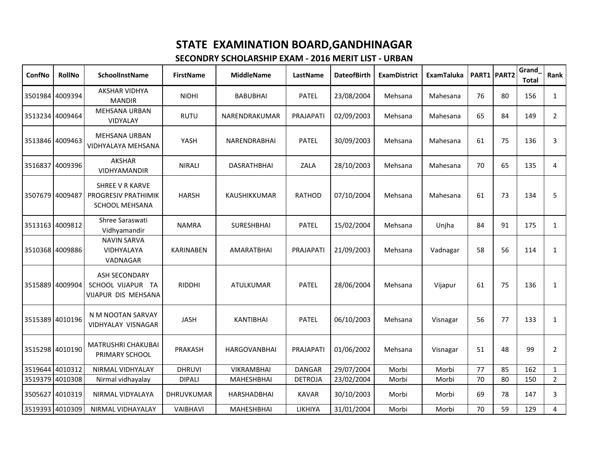| ConfNo          | <b>RollNo</b>   | <b>SchoolInstName</b>                                                  | <b>FirstName</b>  | <b>MiddleName</b>   | LastName       | <b>DateofBirth</b> | <b>ExamDistrict</b> | ExamTaluka |    | <b>PART1 PART2</b> | Grand<br><b>Total</b> | Rank           |
|-----------------|-----------------|------------------------------------------------------------------------|-------------------|---------------------|----------------|--------------------|---------------------|------------|----|--------------------|-----------------------|----------------|
|                 | 3501984 4009394 | <b>AKSHAR VIDHYA</b><br><b>MANDIR</b>                                  | <b>NIDHI</b>      | <b>BABUBHAI</b>     | <b>PATEL</b>   | 23/08/2004         | Mehsana             | Mahesana   | 76 | 80                 | 156                   | $\mathbf{1}$   |
|                 | 3513234 4009464 | <b>MEHSANA URBAN</b><br>VIDYALAY                                       | <b>RUTU</b>       | NARENDRAKUMAR       | PRAJAPATI      | 02/09/2003         | Mehsana             | Mahesana   | 65 | 84                 | 149                   | $\overline{2}$ |
|                 | 3513846 4009463 | <b>MEHSANA URBAN</b><br>VIDHYALAYA MEHSANA                             | YASH              | NARENDRABHAI        | <b>PATEL</b>   | 30/09/2003         | Mehsana             | Mahesana   | 61 | 75                 | 136                   | 3              |
| 3516837         | 4009396         | <b>AKSHAR</b><br>VIDHYAMANDIR                                          | <b>NIRALI</b>     | <b>DASRATHBHAI</b>  | ZALA           | 28/10/2003         | Mehsana             | Mahesana   | 70 | 65                 | 135                   | 4              |
| 3507679 4009487 |                 | <b>SHREE V R KARVE</b><br><b>PROGRESIV PRATHIMIK</b><br>SCHOOL MEHSANA | <b>HARSH</b>      | KAUSHIKKUMAR        | <b>RATHOD</b>  | 07/10/2004         | Mehsana             | Mahesana   | 61 | 73                 | 134                   | 5              |
| 3513163         | 4009812         | Shree Saraswati<br>Vidhyamandir                                        | <b>NAMRA</b>      | <b>SURESHBHAI</b>   | <b>PATEL</b>   | 15/02/2004         | Mehsana             | Unjha      | 84 | 91                 | 175                   | $\mathbf{1}$   |
|                 | 3510368 4009886 | <b>NAVIN SARVA</b><br>VIDHYALAYA<br>VADNAGAR                           | <b>KARINABEN</b>  | <b>AMARATBHAI</b>   | PRAJAPATI      | 21/09/2003         | Mehsana             | Vadnagar   | 58 | 56                 | 114                   | $\mathbf{1}$   |
|                 | 3515889 4009904 | <b>ASH SECONDARY</b><br>SCHOOL VIJAPUR TA<br>VIJAPUR DIS MEHSANA       | <b>RIDDHI</b>     | <b>ATULKUMAR</b>    | <b>PATEL</b>   | 28/06/2004         | Mehsana             | Vijapur    | 61 | 75                 | 136                   | $\mathbf{1}$   |
|                 | 3515389 4010196 | N M NOOTAN SARVAY<br>VIDHYALAY VISNAGAR                                | <b>JASH</b>       | <b>KANTIBHAI</b>    | <b>PATEL</b>   | 06/10/2003         | Mehsana             | Visnagar   | 56 | 77                 | 133                   | $\mathbf{1}$   |
|                 | 3515298 4010190 | MATRUSHRI CHAKUBAI<br>PRIMARY SCHOOL                                   | <b>PRAKASH</b>    | <b>HARGOVANBHAI</b> | PRAJAPATI      | 01/06/2002         | Mehsana             | Visnagar   | 51 | 48                 | 99                    | $\overline{2}$ |
|                 | 3519644 4010312 | NIRMAL VIDHYALAY                                                       | <b>DHRUVI</b>     | <b>VIKRAMBHAI</b>   | <b>DANGAR</b>  | 29/07/2004         | Morbi               | Morbi      | 77 | 85                 | 162                   | $\mathbf{1}$   |
| 3519379         | 4010308         | Nirmal vidhayalay                                                      | <b>DIPALI</b>     | <b>MAHESHBHAI</b>   | <b>DETROJA</b> | 23/02/2004         | Morbi               | Morbi      | 70 | 80                 | 150                   | $\overline{2}$ |
|                 | 3505627 4010319 | NIRMAL VIDYALAYA                                                       | <b>DHRUVKUMAR</b> | <b>HARSHADBHAI</b>  | <b>KAVAR</b>   | 30/10/2003         | Morbi               | Morbi      | 69 | 78                 | 147                   | 3              |
|                 | 3519393 4010309 | NIRMAL VIDHAYALAY                                                      | VAIBHAVI          | <b>MAHESHBHAI</b>   | LIKHIYA        | 31/01/2004         | Morbi               | Morbi      | 70 | 59                 | 129                   | $\overline{4}$ |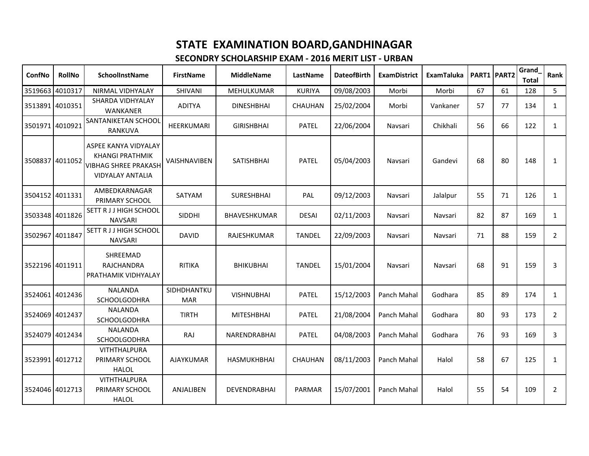| ConfNo          | <b>RollNo</b>   | <b>SchoolInstName</b>                                                                                    | <b>FirstName</b>          | <b>MiddleName</b>  | <b>LastName</b> | <b>DateofBirth</b> | <b>ExamDistrict</b> | <b>ExamTaluka</b> |    | <b>PART1 PART2</b> | Grand<br><b>Total</b> | Rank           |
|-----------------|-----------------|----------------------------------------------------------------------------------------------------------|---------------------------|--------------------|-----------------|--------------------|---------------------|-------------------|----|--------------------|-----------------------|----------------|
| 3519663 4010317 |                 | NIRMAL VIDHYALAY                                                                                         | SHIVANI                   | MEHULKUMAR         | <b>KURIYA</b>   | 09/08/2003         | Morbi               | Morbi             | 67 | 61                 | 128                   | 5              |
|                 | 3513891 4010351 | SHARDA VIDHYALAY<br>WANKANER                                                                             | <b>ADITYA</b>             | <b>DINESHBHAI</b>  | <b>CHAUHAN</b>  | 25/02/2004         | Morbi               | Vankaner          | 57 | 77                 | 134                   | $\mathbf{1}$   |
| 3501971 4010921 |                 | SANTANIKETAN SCHOOL<br>RANKUVA                                                                           | HEERKUMARI                | <b>GIRISHBHAI</b>  | <b>PATEL</b>    | 22/06/2004         | Navsari             | Chikhali          | 56 | 66                 | 122                   | $\mathbf{1}$   |
| 3508837 4011052 |                 | ASPEE KANYA VIDYALAY<br><b>KHANGI PRATHMIK</b><br><b>VIBHAG SHREE PRAKASH</b><br><b>VIDYALAY ANTALIA</b> | VAISHNAVIBEN              | <b>SATISHBHAI</b>  | <b>PATEL</b>    | 05/04/2003         | Navsari             | Gandevi           | 68 | 80                 | 148                   | 1              |
|                 | 3504152 4011331 | AMBEDKARNAGAR<br>PRIMARY SCHOOL                                                                          | <b>SATYAM</b>             | <b>SURESHBHAI</b>  | PAL             | 09/12/2003         | Navsari             | Jalalpur          | 55 | 71                 | 126                   | $\mathbf{1}$   |
|                 | 3503348 4011826 | SETT R J J HIGH SCHOOL<br><b>NAVSARI</b>                                                                 | SIDDHI                    | BHAVESHKUMAR       | <b>DESAI</b>    | 02/11/2003         | Navsari             | Navsari           | 82 | 87                 | 169                   | $\mathbf{1}$   |
| 3502967 4011847 |                 | SETT R J J HIGH SCHOOL<br><b>NAVSARI</b>                                                                 | <b>DAVID</b>              | RAJESHKUMAR        | <b>TANDEL</b>   | 22/09/2003         | Navsari             | Navsari           | 71 | 88                 | 159                   | $\overline{2}$ |
|                 | 3522196 4011911 | SHREEMAD<br>RAJCHANDRA<br>PRATHAMIK VIDHYALAY                                                            | <b>RITIKA</b>             | <b>BHIKUBHAI</b>   | <b>TANDEL</b>   | 15/01/2004         | Navsari             | Navsari           | 68 | 91                 | 159                   | 3              |
|                 | 3524061 4012436 | <b>NALANDA</b><br>SCHOOLGODHRA                                                                           | SIDHDHANTKU<br><b>MAR</b> | <b>VISHNUBHAI</b>  | <b>PATEL</b>    | 15/12/2003         | Panch Mahal         | Godhara           | 85 | 89                 | 174                   | $\mathbf{1}$   |
|                 | 3524069 4012437 | <b>NALANDA</b><br><b>SCHOOLGODHRA</b>                                                                    | <b>TIRTH</b>              | MITESHBHAI         | <b>PATEL</b>    | 21/08/2004         | Panch Mahal         | Godhara           | 80 | 93                 | 173                   | $\overline{2}$ |
|                 | 3524079 4012434 | <b>NALANDA</b><br><b>SCHOOLGODHRA</b>                                                                    | RAJ                       | NARENDRABHAI       | <b>PATEL</b>    | 04/08/2003         | Panch Mahal         | Godhara           | 76 | 93                 | 169                   | 3              |
|                 | 3523991 4012712 | <b>VITHTHALPURA</b><br>PRIMARY SCHOOL<br><b>HALOL</b>                                                    | AJAYKUMAR                 | <b>HASMUKHBHAI</b> | CHAUHAN         | 08/11/2003         | Panch Mahal         | Halol             | 58 | 67                 | 125                   | $\mathbf{1}$   |
| 3524046 4012713 |                 | <b>VITHTHALPURA</b><br>PRIMARY SCHOOL<br><b>HALOL</b>                                                    | ANJALIBEN                 | DEVENDRABHAI       | PARMAR          | 15/07/2001         | Panch Mahal         | Halol             | 55 | 54                 | 109                   | $\overline{2}$ |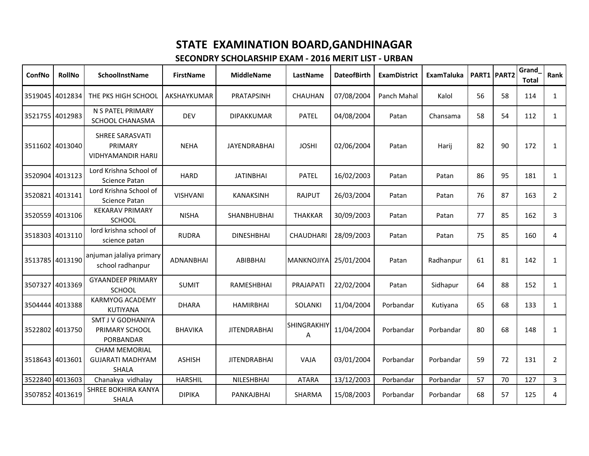| ConfNo          | <b>RollNo</b>   | <b>SchoolInstName</b>                                           | <b>FirstName</b> | <b>MiddleName</b>   | LastName                | <b>DateofBirth</b> | <b>ExamDistrict</b> | <b>ExamTaluka</b> |    | PART1 PART2 | Grand<br><b>Total</b> | Rank           |
|-----------------|-----------------|-----------------------------------------------------------------|------------------|---------------------|-------------------------|--------------------|---------------------|-------------------|----|-------------|-----------------------|----------------|
| 3519045 4012834 |                 | THE PKS HIGH SCHOOL                                             | AKSHAYKUMAR      | PRATAPSINH          | CHAUHAN                 | 07/08/2004         | Panch Mahal         | Kalol             | 56 | 58          | 114                   | 1              |
| 3521755 4012983 |                 | N S PATEL PRIMARY<br>SCHOOL CHANASMA                            | <b>DEV</b>       | <b>DIPAKKUMAR</b>   | <b>PATEL</b>            | 04/08/2004         | Patan               | Chansama          | 58 | 54          | 112                   | $\mathbf{1}$   |
|                 | 3511602 4013040 | SHREE SARASVATI<br>PRIMARY<br><b>VIDHYAMANDIR HARIJ</b>         | <b>NEHA</b>      | <b>JAYENDRABHAI</b> | <b>JOSHI</b>            | 02/06/2004         | Patan               | Harij             | 82 | 90          | 172                   | $\mathbf{1}$   |
| 3520904 4013123 |                 | Lord Krishna School of<br><b>Science Patan</b>                  | <b>HARD</b>      | <b>JATINBHAI</b>    | <b>PATEL</b>            | 16/02/2003         | Patan               | Patan             | 86 | 95          | 181                   | $\mathbf{1}$   |
|                 | 3520821 4013141 | Lord Krishna School of<br>Science Patan                         | <b>VISHVANI</b>  | <b>KANAKSINH</b>    | <b>RAJPUT</b>           | 26/03/2004         | Patan               | Patan             | 76 | 87          | 163                   | $\overline{2}$ |
|                 | 3520559 4013106 | <b>KEKARAV PRIMARY</b><br><b>SCHOOL</b>                         | <b>NISHA</b>     | <b>SHANBHUBHAI</b>  | <b>THAKKAR</b>          | 30/09/2003         | Patan               | Patan             | 77 | 85          | 162                   | 3              |
| 3518303 4013110 |                 | lord krishna school of<br>science patan                         | <b>RUDRA</b>     | <b>DINESHBHAI</b>   | <b>CHAUDHARI</b>        | 28/09/2003         | Patan               | Patan             | 75 | 85          | 160                   | 4              |
| 3513785 4013190 |                 | anjuman jalaliya primary<br>school radhanpur                    | ADNANBHAI        | ABIBBHAI            | <b>MANKNOJIYA</b>       | 25/01/2004         | Patan               | Radhanpur         | 61 | 81          | 142                   | 1              |
| 3507327 4013369 |                 | <b>GYAANDEEP PRIMARY</b><br><b>SCHOOL</b>                       | <b>SUMIT</b>     | <b>RAMESHBHAI</b>   | PRAJAPATI               | 22/02/2004         | Patan               | Sidhapur          | 64 | 88          | 152                   | $\mathbf{1}$   |
|                 | 3504444 4013388 | <b>KARMYOG ACADEMY</b><br><b>KUTIYANA</b>                       | <b>DHARA</b>     | <b>HAMIRBHAI</b>    | SOLANKI                 | 11/04/2004         | Porbandar           | Kutiyana          | 65 | 68          | 133                   | $\mathbf{1}$   |
|                 | 3522802 4013750 | <b>SMT J V GODHANIYA</b><br>PRIMARY SCHOOL<br>PORBANDAR         | <b>BHAVIKA</b>   | <b>JITENDRABHAI</b> | <b>SHINGRAKHIY</b><br>Α | 11/04/2004         | Porbandar           | Porbandar         | 80 | 68          | 148                   | $\mathbf{1}$   |
| 3518643 4013601 |                 | <b>CHAM MEMORIAL</b><br><b>GUJARATI MADHYAM</b><br><b>SHALA</b> | <b>ASHISH</b>    | <b>JITENDRABHAI</b> | VAJA                    | 03/01/2004         | Porbandar           | Porbandar         | 59 | 72          | 131                   | $\overline{2}$ |
| 3522840 4013603 |                 | Chanakya vidhalay                                               | <b>HARSHIL</b>   | NILESHBHAI          | <b>ATARA</b>            | 13/12/2003         | Porbandar           | Porbandar         | 57 | 70          | 127                   | 3              |
| 3507852 4013619 |                 | <b>SHREE BOKHIRA KANYA</b><br>SHALA                             | <b>DIPIKA</b>    | PANKAJBHAI          | <b>SHARMA</b>           | 15/08/2003         | Porbandar           | Porbandar         | 68 | 57          | 125                   | 4              |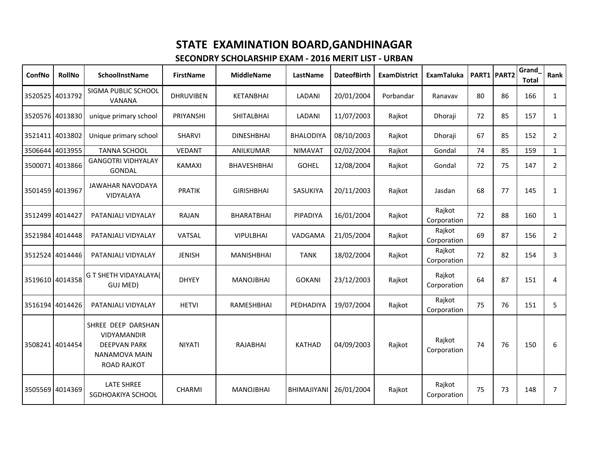| ConfNo          | <b>RollNo</b>   | <b>SchoolInstName</b>                                                                           | <b>FirstName</b> | <b>MiddleName</b>  | LastName           | <b>DateofBirth</b> | <b>ExamDistrict</b> | <b>ExamTaluka</b>     |    | PART1 PART2 | Grand<br><b>Total</b> | Rank           |
|-----------------|-----------------|-------------------------------------------------------------------------------------------------|------------------|--------------------|--------------------|--------------------|---------------------|-----------------------|----|-------------|-----------------------|----------------|
|                 | 3520525 4013792 | SIGMA PUBLIC SCHOOL<br><b>VANANA</b>                                                            | <b>DHRUVIBEN</b> | KETANBHAI          | LADANI             | 20/01/2004         | Porbandar           | Ranavav               | 80 | 86          | 166                   | $\mathbf{1}$   |
| 3520576 4013830 |                 | unique primary school                                                                           | PRIYANSHI        | SHITALBHAI         | LADANI             | 11/07/2003         | Rajkot              | Dhoraji               | 72 | 85          | 157                   | $\mathbf{1}$   |
| 3521411 4013802 |                 | Unique primary school                                                                           | <b>SHARVI</b>    | <b>DINESHBHAI</b>  | <b>BHALODIYA</b>   | 08/10/2003         | Rajkot              | Dhoraji               | 67 | 85          | 152                   | $\overline{2}$ |
|                 | 3506644 4013955 | <b>TANNA SCHOOL</b>                                                                             | <b>VEDANT</b>    | ANILKUMAR          | <b>NIMAVAT</b>     | 02/02/2004         | Rajkot              | Gondal                | 74 | 85          | 159                   | $\mathbf{1}$   |
|                 | 3500071 4013866 | <b>GANGOTRI VIDHYALAY</b><br>GONDAL                                                             | KAMAXI           | <b>BHAVESHBHAI</b> | <b>GOHEL</b>       | 12/08/2004         | Rajkot              | Gondal                | 72 | 75          | 147                   | $\overline{2}$ |
| 3501459 4013967 |                 | <b>JAWAHAR NAVODAYA</b><br>VIDYALAYA                                                            | <b>PRATIK</b>    | <b>GIRISHBHAI</b>  | <b>SASUKIYA</b>    | 20/11/2003         | Rajkot              | Jasdan                | 68 | 77          | 145                   | $\mathbf{1}$   |
| 3512499 4014427 |                 | PATANJALI VIDYALAY                                                                              | RAJAN            | <b>BHARATBHAI</b>  | <b>PIPADIYA</b>    | 16/01/2004         | Rajkot              | Rajkot<br>Corporation | 72 | 88          | 160                   | $\mathbf{1}$   |
|                 | 3521984 4014448 | PATANJALI VIDYALAY                                                                              | VATSAL           | <b>VIPULBHAI</b>   | VADGAMA            | 21/05/2004         | Rajkot              | Rajkot<br>Corporation | 69 | 87          | 156                   | $\overline{2}$ |
|                 | 3512524 4014446 | PATANJALI VIDYALAY                                                                              | <b>JENISH</b>    | <b>MANISHBHAI</b>  | <b>TANK</b>        | 18/02/2004         | Rajkot              | Rajkot<br>Corporation | 72 | 82          | 154                   | 3              |
| 3519610 4014358 |                 | <b>G T SHETH VIDAYALAYA(</b><br>GUJ MED)                                                        | <b>DHYEY</b>     | <b>MANOJBHAI</b>   | <b>GOKANI</b>      | 23/12/2003         | Rajkot              | Rajkot<br>Corporation | 64 | 87          | 151                   | 4              |
|                 | 3516194 4014426 | PATANJALI VIDYALAY                                                                              | <b>HETVI</b>     | RAMESHBHAI         | PEDHADIYA          | 19/07/2004         | Rajkot              | Rajkot<br>Corporation | 75 | 76          | 151                   | 5              |
|                 | 3508241 4014454 | SHREE DEEP DARSHAN<br>VIDYAMANDIR<br><b>DEEPVAN PARK</b><br>NANAMOVA MAIN<br><b>ROAD RAJKOT</b> | <b>NIYATI</b>    | RAJABHAI           | <b>KATHAD</b>      | 04/09/2003         | Rajkot              | Rajkot<br>Corporation | 74 | 76          | 150                   | 6              |
| 3505569 4014369 |                 | <b>LATE SHREE</b><br>SGDHOAKIYA SCHOOL                                                          | <b>CHARMI</b>    | <b>MANOJBHAI</b>   | <b>BHIMAJIYANI</b> | 26/01/2004         | Rajkot              | Rajkot<br>Corporation | 75 | 73          | 148                   | $\overline{7}$ |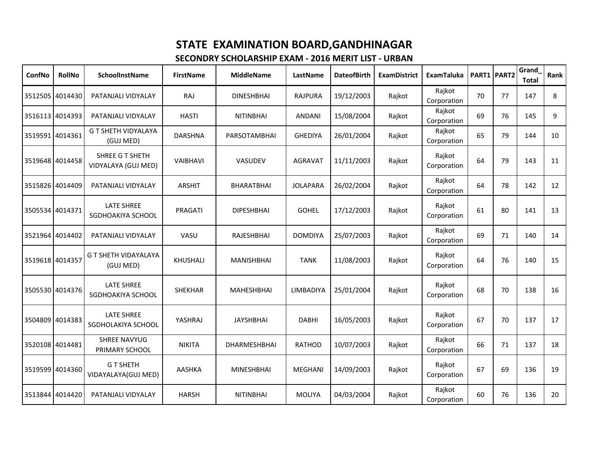| ConfNo | <b>RollNo</b>   | SchoolInstName                           | <b>FirstName</b> | <b>MiddleName</b>   | LastName        | <b>DateofBirth</b> | <b>ExamDistrict</b> | <b>ExamTaluka</b>     |    | PART1 PART2 | Grand<br><b>Total</b> | Rank |
|--------|-----------------|------------------------------------------|------------------|---------------------|-----------------|--------------------|---------------------|-----------------------|----|-------------|-----------------------|------|
|        | 3512505 4014430 | PATANJALI VIDYALAY                       | <b>RAJ</b>       | <b>DINESHBHAI</b>   | <b>RAJPURA</b>  | 19/12/2003         | Rajkot              | Rajkot<br>Corporation | 70 | 77          | 147                   | 8    |
|        | 3516113 4014393 | PATANJALI VIDYALAY                       | <b>HASTI</b>     | <b>NITINBHAI</b>    | <b>ANDANI</b>   | 15/08/2004         | Rajkot              | Rajkot<br>Corporation | 69 | 76          | 145                   | 9    |
|        | 3519591 4014361 | <b>G T SHETH VIDYALAYA</b><br>(GUJ MED)  | <b>DARSHNA</b>   | <b>PARSOTAMBHAI</b> | <b>GHEDIYA</b>  | 26/01/2004         | Rajkot              | Rajkot<br>Corporation | 65 | 79          | 144                   | 10   |
|        | 3519648 4014458 | SHREE G T SHETH<br>VIDYALAYA (GUJ MED)   | VAIBHAVI         | VASUDEV             | <b>AGRAVAT</b>  | 11/11/2003         | Rajkot              | Rajkot<br>Corporation | 64 | 79          | 143                   | 11   |
|        | 3515826 4014409 | PATANJALI VIDYALAY                       | <b>ARSHIT</b>    | <b>BHARATBHAI</b>   | <b>JOLAPARA</b> | 26/02/2004         | Rajkot              | Rajkot<br>Corporation | 64 | 78          | 142                   | 12   |
|        | 3505534 4014371 | LATE SHREE<br>SGDHOAKIYA SCHOOL          | PRAGATI          | <b>DIPESHBHAI</b>   | <b>GOHEL</b>    | 17/12/2003         | Rajkot              | Rajkot<br>Corporation | 61 | 80          | 141                   | 13   |
|        | 3521964 4014402 | PATANJALI VIDYALAY                       | VASU             | RAJESHBHAI          | <b>DOMDIYA</b>  | 25/07/2003         | Rajkot              | Rajkot<br>Corporation | 69 | 71          | 140                   | 14   |
|        | 3519618 4014357 | <b>G T SHETH VIDAYALAYA</b><br>(GUJ MED) | KHUSHALI         | <b>MANISHBHAI</b>   | <b>TANK</b>     | 11/08/2003         | Rajkot              | Rajkot<br>Corporation | 64 | 76          | 140                   | 15   |
|        | 3505530 4014376 | <b>LATE SHREE</b><br>SGDHOAKIYA SCHOOL   | SHEKHAR          | MAHESHBHAI          | LIMBADIYA       | 25/01/2004         | Rajkot              | Rajkot<br>Corporation | 68 | 70          | 138                   | 16   |
|        | 3504809 4014383 | <b>LATE SHREE</b><br>SGDHOLAKIYA SCHOOL  | YASHRAJ          | <b>JAYSHBHAI</b>    | <b>DABHI</b>    | 16/05/2003         | Rajkot              | Rajkot<br>Corporation | 67 | 70          | 137                   | 17   |
|        | 3520108 4014481 | <b>SHREE NAVYUG</b><br>PRIMARY SCHOOL    | <b>NIKITA</b>    | <b>DHARMESHBHAI</b> | <b>RATHOD</b>   | 10/07/2003         | Rajkot              | Rajkot<br>Corporation | 66 | 71          | 137                   | 18   |
|        | 3519599 4014360 | <b>GT SHETH</b><br>VIDAYALAYA(GUJ MED)   | AASHKA           | <b>MINESHBHAI</b>   | MEGHANI         | 14/09/2003         | Rajkot              | Rajkot<br>Corporation | 67 | 69          | 136                   | 19   |
|        | 3513844 4014420 | PATANJALI VIDYALAY                       | <b>HARSH</b>     | <b>NITINBHAI</b>    | <b>MOLIYA</b>   | 04/03/2004         | Rajkot              | Rajkot<br>Corporation | 60 | 76          | 136                   | 20   |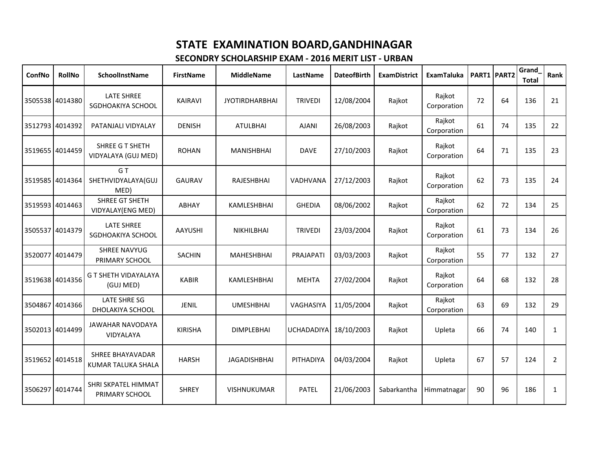| ConfNo          | <b>RollNo</b>   | SchoolInstName                                | <b>FirstName</b> | <b>MiddleName</b>     | LastName          | <b>DateofBirth</b> | <b>ExamDistrict</b> | <b>ExamTaluka</b>     |    | PART1 PART2 | Grand<br><b>Total</b> | Rank           |
|-----------------|-----------------|-----------------------------------------------|------------------|-----------------------|-------------------|--------------------|---------------------|-----------------------|----|-------------|-----------------------|----------------|
|                 | 3505538 4014380 | <b>LATE SHREE</b><br>SGDHOAKIYA SCHOOL        | <b>KAIRAVI</b>   | <b>JYOTIRDHARBHAI</b> | <b>TRIVEDI</b>    | 12/08/2004         | Rajkot              | Rajkot<br>Corporation | 72 | 64          | 136                   | 21             |
| 3512793 4014392 |                 | PATANJALI VIDYALAY                            | <b>DENISH</b>    | <b>ATULBHAI</b>       | <b>AJANI</b>      | 26/08/2003         | Rajkot              | Rajkot<br>Corporation | 61 | 74          | 135                   | 22             |
|                 | 3519655 4014459 | SHREE G T SHETH<br>VIDYALAYA (GUJ MED)        | <b>ROHAN</b>     | <b>MANISHBHAI</b>     | <b>DAVE</b>       | 27/10/2003         | Rajkot              | Rajkot<br>Corporation | 64 | 71          | 135                   | 23             |
| 3519585 4014364 |                 | G T<br>SHETHVIDYALAYA(GUJ<br>MED)             | <b>GAURAV</b>    | <b>RAJESHBHAI</b>     | <b>VADHVANA</b>   | 27/12/2003         | Rajkot              | Rajkot<br>Corporation | 62 | 73          | 135                   | 24             |
|                 | 3519593 4014463 | SHREE GT SHETH<br>VIDYALAY(ENG MED)           | ABHAY            | KAMLESHBHAI           | <b>GHEDIA</b>     | 08/06/2002         | Rajkot              | Rajkot<br>Corporation | 62 | 72          | 134                   | 25             |
|                 | 3505537 4014379 | <b>LATE SHREE</b><br>SGDHOAKIYA SCHOOL        | <b>AAYUSHI</b>   | <b>NIKHILBHAI</b>     | <b>TRIVEDI</b>    | 23/03/2004         | Rajkot              | Rajkot<br>Corporation | 61 | 73          | 134                   | 26             |
|                 | 3520077 4014479 | <b>SHREE NAVYUG</b><br>PRIMARY SCHOOL         | <b>SACHIN</b>    | <b>MAHESHBHAI</b>     | PRAJAPATI         | 03/03/2003         | Rajkot              | Rajkot<br>Corporation | 55 | 77          | 132                   | 27             |
|                 | 3519638 4014356 | <b>G T SHETH VIDAYALAYA</b><br>(GUJ MED)      | <b>KABIR</b>     | KAMLESHBHAI           | <b>MEHTA</b>      | 27/02/2004         | Rajkot              | Rajkot<br>Corporation | 64 | 68          | 132                   | 28             |
|                 | 3504867 4014366 | LATE SHRE SG<br>DHOLAKIYA SCHOOL              | <b>JENIL</b>     | <b>UMESHBHAI</b>      | VAGHASIYA         | 11/05/2004         | Rajkot              | Rajkot<br>Corporation | 63 | 69          | 132                   | 29             |
| 3502013 4014499 |                 | JAWAHAR NAVODAYA<br><b>VIDYALAYA</b>          | <b>KIRISHA</b>   | <b>DIMPLEBHAI</b>     | <b>UCHADADIYA</b> | 18/10/2003         | Rajkot              | Upleta                | 66 | 74          | 140                   | $\mathbf{1}$   |
| 3519652 4014518 |                 | <b>SHREE BHAYAVADAR</b><br>KUMAR TALUKA SHALA | <b>HARSH</b>     | <b>JAGADISHBHAI</b>   | PITHADIYA         | 04/03/2004         | Rajkot              | Upleta                | 67 | 57          | 124                   | $\overline{2}$ |
| 3506297 4014744 |                 | SHRI SKPATEL HIMMAT<br>PRIMARY SCHOOL         | <b>SHREY</b>     | VISHNUKUMAR           | <b>PATEL</b>      | 21/06/2003         | Sabarkantha         | Himmatnagar           | 90 | 96          | 186                   | $\mathbf{1}$   |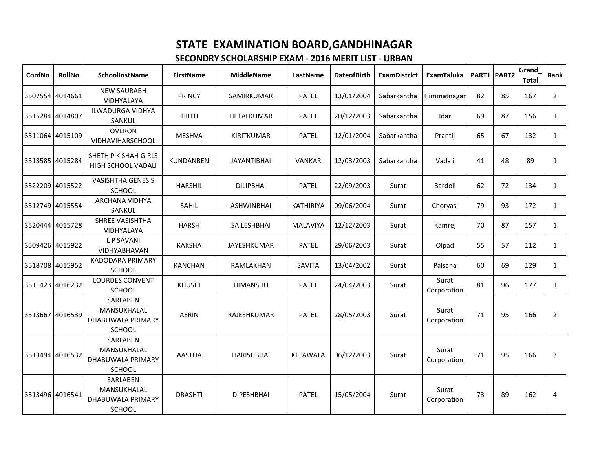| ConfNo          | <b>RollNo</b>   | <b>SchoolInstName</b>                                                | <b>FirstName</b> | <b>MiddleName</b>  | LastName        | <b>DateofBirth</b> | <b>ExamDistrict</b> | <b>ExamTaluka</b>    |    | PART1 PART2 | Grand<br><b>Total</b> | Rank           |
|-----------------|-----------------|----------------------------------------------------------------------|------------------|--------------------|-----------------|--------------------|---------------------|----------------------|----|-------------|-----------------------|----------------|
|                 | 3507554 4014661 | <b>NEW SAURABH</b><br>VIDHYALAYA                                     | <b>PRINCY</b>    | SAMIRKUMAR         | <b>PATEL</b>    | 13/01/2004         | Sabarkantha         | Himmatnagar          | 82 | 85          | 167                   | $\overline{2}$ |
|                 | 3515284 4014807 | <b>ILWADURGA VIDHYA</b><br>SANKUL                                    | <b>TIRTH</b>     | HETALKUMAR         | <b>PATEL</b>    | 20/12/2003         | Sabarkantha         | Idar                 | 69 | 87          | 156                   | $\mathbf{1}$   |
|                 | 3511064 4015109 | <b>OVERON</b><br>VIDHAVIHARSCHOOL                                    | <b>MESHVA</b>    | <b>KIRITKUMAR</b>  | <b>PATEL</b>    | 12/01/2004         | Sabarkantha         | Prantij              | 65 | 67          | 132                   | $\mathbf{1}$   |
| 3518585 4015284 |                 | SHETH P K SHAH GIRLS<br>HIGH SCHOOL VADALI                           | KUNDANBEN        | <b>JAYANTIBHAI</b> | <b>VANKAR</b>   | 12/03/2003         | Sabarkantha         | Vadali               | 41 | 48          | 89                    | $\mathbf{1}$   |
|                 | 3522209 4015522 | <b>VASISHTHA GENESIS</b><br><b>SCHOOL</b>                            | <b>HARSHIL</b>   | <b>DILIPBHAI</b>   | <b>PATEL</b>    | 22/09/2003         | Surat               | Bardoli              | 62 | 72          | 134                   | $\mathbf{1}$   |
|                 | 3512749 4015554 | <b>ARCHANA VIDHYA</b><br>SANKUL                                      | SAHIL            | <b>ASHWINBHAI</b>  | KATHIRIYA       | 09/06/2004         | Surat               | Choryasi             | 79 | 93          | 172                   | $\mathbf{1}$   |
|                 | 3520444 4015728 | <b>SHREE VASISHTHA</b><br><b>VIDHYALAYA</b>                          | <b>HARSH</b>     | SAILESHBHAI        | MALAVIYA        | 12/12/2003         | Surat               | Kamrej               | 70 | 87          | 157                   | $\mathbf{1}$   |
|                 | 3509426 4015922 | <b>LP SAVANI</b><br>VIDHYABHAVAN                                     | <b>KAKSHA</b>    | <b>JAYESHKUMAR</b> | <b>PATEL</b>    | 29/06/2003         | Surat               | Olpad                | 55 | 57          | 112                   | $\mathbf{1}$   |
|                 | 3518708 4015952 | <b>KADODARA PRIMARY</b><br><b>SCHOOL</b>                             | <b>KANCHAN</b>   | RAMLAKHAN          | SAVITA          | 13/04/2002         | Surat               | Palsana              | 60 | 69          | 129                   | $\mathbf{1}$   |
|                 | 3511423 4016232 | <b>LOURDES CONVENT</b><br><b>SCHOOL</b>                              | <b>KHUSHI</b>    | HIMANSHU           | <b>PATEL</b>    | 24/04/2003         | Surat               | Surat<br>Corporation | 81 | 96          | 177                   | $\mathbf{1}$   |
| 3513667 4016539 |                 | <b>SARLABEN</b><br>MANSUKHALAL<br>DHABUWALA PRIMARY<br><b>SCHOOL</b> | <b>AERIN</b>     | RAJESHKUMAR        | <b>PATEL</b>    | 28/05/2003         | Surat               | Surat<br>Corporation | 71 | 95          | 166                   | $\overline{2}$ |
| 3513494 4016532 |                 | SARLABEN<br>MANSUKHALAL<br>DHABUWALA PRIMARY<br><b>SCHOOL</b>        | <b>AASTHA</b>    | <b>HARISHBHAI</b>  | <b>KELAWALA</b> | 06/12/2003         | Surat               | Surat<br>Corporation | 71 | 95          | 166                   | 3              |
| 3513496 4016541 |                 | SARLABEN<br>MANSUKHALAL<br>DHABUWALA PRIMARY<br>SCHOOL               | <b>DRASHTI</b>   | <b>DIPESHBHAI</b>  | <b>PATEL</b>    | 15/05/2004         | Surat               | Surat<br>Corporation | 73 | 89          | 162                   | 4              |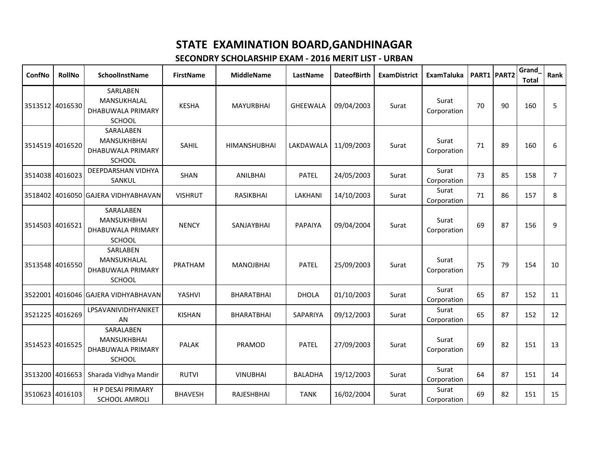| ConfNo          | <b>RollNo</b>   | <b>SchoolInstName</b>                                                 | <b>FirstName</b> | <b>MiddleName</b>   | LastName             | <b>DateofBirth</b> | <b>ExamDistrict</b> | <b>ExamTaluka</b>    | PART1 PART2 |    | Grand<br><b>Total</b> | Rank           |
|-----------------|-----------------|-----------------------------------------------------------------------|------------------|---------------------|----------------------|--------------------|---------------------|----------------------|-------------|----|-----------------------|----------------|
|                 | 3513512 4016530 | SARLABEN<br>MANSUKHALAL<br>DHABUWALA PRIMARY<br><b>SCHOOL</b>         | <b>KESHA</b>     | <b>MAYURBHAI</b>    | GHEEWALA             | 09/04/2003         | Surat               | Surat<br>Corporation | 70          | 90 | 160                   | 5              |
| 3514519 4016520 |                 | SARALABEN<br><b>MANSUKHBHAI</b><br>DHABUWALA PRIMARY<br><b>SCHOOL</b> | <b>SAHIL</b>     | <b>HIMANSHUBHAI</b> | LAKDAWALA 11/09/2003 |                    | Surat               | Surat<br>Corporation | 71          | 89 | 160                   | 6              |
| 3514038 4016023 |                 | DEEPDARSHAN VIDHYA<br>SANKUL                                          | SHAN             | <b>ANILBHAI</b>     | <b>PATEL</b>         | 24/05/2003         | Surat               | Surat<br>Corporation | 73          | 85 | 158                   | $\overline{7}$ |
|                 |                 | 3518402 4016050 GAJERA VIDHYABHAVAN                                   | <b>VISHRUT</b>   | <b>RASIKBHAI</b>    | LAKHANI              | 14/10/2003         | Surat               | Surat<br>Corporation | 71          | 86 | 157                   | 8              |
| 3514503 4016521 |                 | SARALABEN<br><b>MANSUKHBHAI</b><br>DHABUWALA PRIMARY<br><b>SCHOOL</b> | <b>NENCY</b>     | SANJAYBHAI          | <b>PAPAIYA</b>       | 09/04/2004         | Surat               | Surat<br>Corporation | 69          | 87 | 156                   | 9              |
| 3513548 4016550 |                 | SARLABEN<br>MANSUKHALAL<br>DHABUWALA PRIMARY<br><b>SCHOOL</b>         | PRATHAM          | <b>MANOJBHAI</b>    | <b>PATEL</b>         | 25/09/2003         | Surat               | Surat<br>Corporation | 75          | 79 | 154                   | 10             |
|                 |                 | 3522001 4016046 GAJERA VIDHYABHAVAN                                   | YASHVI           | BHARATBHAI          | <b>DHOLA</b>         | 01/10/2003         | Surat               | Surat<br>Corporation | 65          | 87 | 152                   | 11             |
| 3521225 4016269 |                 | LPSAVANIVIDHYANIKET<br>AN                                             | <b>KISHAN</b>    | BHARATBHAI          | SAPARIYA             | 09/12/2003         | Surat               | Surat<br>Corporation | 65          | 87 | 152                   | 12             |
| 3514523 4016525 |                 | SARALABEN<br><b>MANSUKHBHAI</b><br>DHABUWALA PRIMARY<br><b>SCHOOL</b> | <b>PALAK</b>     | PRAMOD              | <b>PATEL</b>         | 27/09/2003         | Surat               | Surat<br>Corporation | 69          | 82 | 151                   | 13             |
| 3513200 4016653 |                 | Sharada Vidhya Mandir                                                 | <b>RUTVI</b>     | <b>VINUBHAI</b>     | <b>BALADHA</b>       | 19/12/2003         | Surat               | Surat<br>Corporation | 64          | 87 | 151                   | 14             |
| 3510623 4016103 |                 | H P DESAI PRIMARY<br><b>SCHOOL AMROLI</b>                             | <b>BHAVESH</b>   | RAJESHBHAI          | <b>TANK</b>          | 16/02/2004         | Surat               | Surat<br>Corporation | 69          | 82 | 151                   | 15             |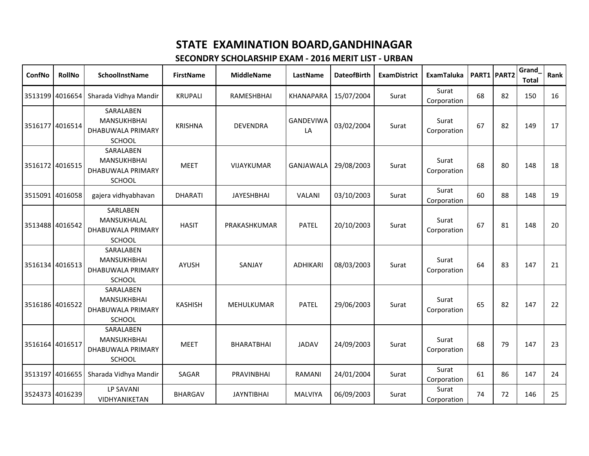| ConfNo          | <b>RollNo</b>   | <b>SchoolInstName</b>                                          | <b>FirstName</b> | <b>MiddleName</b> | LastName               | <b>DateofBirth</b> | <b>ExamDistrict</b> | <b>ExamTaluka</b>    |    | PART1 PART2 | Grand<br><b>Total</b> | Rank |
|-----------------|-----------------|----------------------------------------------------------------|------------------|-------------------|------------------------|--------------------|---------------------|----------------------|----|-------------|-----------------------|------|
| 3513199 4016654 |                 | Sharada Vidhya Mandir                                          | <b>KRUPALI</b>   | RAMESHBHAI        | KHANAPARA              | 15/07/2004         | Surat               | Surat<br>Corporation | 68 | 82          | 150                   | 16   |
| 3516177 4016514 |                 | SARALABEN<br>MANSUKHBHAI<br>DHABUWALA PRIMARY<br><b>SCHOOL</b> | <b>KRISHNA</b>   | <b>DEVENDRA</b>   | <b>GANDEVIWA</b><br>LA | 03/02/2004         | Surat               | Surat<br>Corporation | 67 | 82          | 149                   | 17   |
| 3516172 4016515 |                 | SARALABEN<br>MANSUKHBHAI<br>DHABUWALA PRIMARY<br>SCHOOL        | <b>MEET</b>      | VIJAYKUMAR        | <b>GANJAWALA</b>       | 29/08/2003         | Surat               | Surat<br>Corporation | 68 | 80          | 148                   | 18   |
|                 | 3515091 4016058 | gajera vidhyabhavan                                            | <b>DHARATI</b>   | <b>JAYESHBHAI</b> | VALANI                 | 03/10/2003         | Surat               | Surat<br>Corporation | 60 | 88          | 148                   | 19   |
| 3513488 4016542 |                 | SARLABEN<br>MANSUKHALAL<br>DHABUWALA PRIMARY<br><b>SCHOOL</b>  | <b>HASIT</b>     | PRAKASHKUMAR      | <b>PATEL</b>           | 20/10/2003         | Surat               | Surat<br>Corporation | 67 | 81          | 148                   | 20   |
| 3516134 4016513 |                 | SARALABEN<br>MANSUKHBHAI<br>DHABUWALA PRIMARY<br><b>SCHOOL</b> | AYUSH            | SANJAY            | <b>ADHIKARI</b>        | 08/03/2003         | Surat               | Surat<br>Corporation | 64 | 83          | 147                   | 21   |
| 3516186 4016522 |                 | SARALABEN<br><b>MANSUKHBHAI</b><br>DHABUWALA PRIMARY<br>SCHOOL | <b>KASHISH</b>   | MEHULKUMAR        | <b>PATEL</b>           | 29/06/2003         | Surat               | Surat<br>Corporation | 65 | 82          | 147                   | 22   |
| 3516164 4016517 |                 | SARALABEN<br>MANSUKHBHAI<br>DHABUWALA PRIMARY<br>SCHOOL        | <b>MEET</b>      | <b>BHARATBHAI</b> | <b>JADAV</b>           | 24/09/2003         | Surat               | Surat<br>Corporation | 68 | 79          | 147                   | 23   |
| 3513197 4016655 |                 | Sharada Vidhya Mandir                                          | SAGAR            | PRAVINBHAI        | RAMANI                 | 24/01/2004         | Surat               | Surat<br>Corporation | 61 | 86          | 147                   | 24   |
| 3524373 4016239 |                 | LP SAVANI<br><b>VIDHYANIKETAN</b>                              | <b>BHARGAV</b>   | <b>JAYNTIBHAI</b> | <b>MALVIYA</b>         | 06/09/2003         | Surat               | Surat<br>Corporation | 74 | 72          | 146                   | 25   |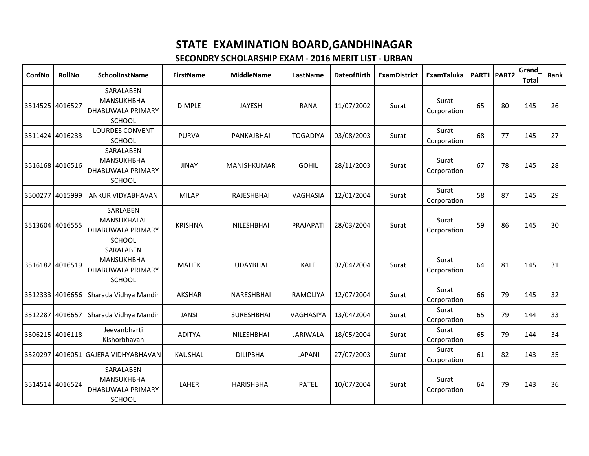| ConfNo          | <b>RollNo</b>   | <b>SchoolInstName</b>                                                 | <b>FirstName</b> | <b>MiddleName</b> | LastName         | <b>DateofBirth</b> | <b>ExamDistrict</b> | <b>ExamTaluka</b>    |    | PART1 PART2 | Grand<br><b>Total</b> | Rank |
|-----------------|-----------------|-----------------------------------------------------------------------|------------------|-------------------|------------------|--------------------|---------------------|----------------------|----|-------------|-----------------------|------|
| 3514525 4016527 |                 | SARALABEN<br><b>MANSUKHBHAI</b><br>DHABUWALA PRIMARY<br><b>SCHOOL</b> | <b>DIMPLE</b>    | <b>JAYESH</b>     | <b>RANA</b>      | 11/07/2002         | Surat               | Surat<br>Corporation | 65 | 80          | 145                   | 26   |
|                 | 3511424 4016233 | <b>LOURDES CONVENT</b><br>SCHOOL                                      | <b>PURVA</b>     | PANKAJBHAI        | <b>TOGADIYA</b>  | 03/08/2003         | Surat               | Surat<br>Corporation | 68 | 77          | 145                   | 27   |
| 3516168 4016516 |                 | SARALABEN<br>MANSUKHBHAI<br>DHABUWALA PRIMARY<br>SCHOOL               | <b>JINAY</b>     | MANISHKUMAR       | <b>GOHIL</b>     | 28/11/2003         | Surat               | Surat<br>Corporation | 67 | 78          | 145                   | 28   |
| 3500277 4015999 |                 | ANKUR VIDYABHAVAN                                                     | <b>MILAP</b>     | RAJESHBHAI        | VAGHASIA         | 12/01/2004         | Surat               | Surat<br>Corporation | 58 | 87          | 145                   | 29   |
| 3513604 4016555 |                 | SARLABEN<br>MANSUKHALAL<br>DHABUWALA PRIMARY<br><b>SCHOOL</b>         | <b>KRISHNA</b>   | NILESHBHAI        | PRAJAPATI        | 28/03/2004         | Surat               | Surat<br>Corporation | 59 | 86          | 145                   | 30   |
| 3516182 4016519 |                 | SARALABEN<br>MANSUKHBHAI<br>DHABUWALA PRIMARY<br>SCHOOL               | <b>MAHEK</b>     | <b>UDAYBHAI</b>   | <b>KALE</b>      | 02/04/2004         | Surat               | Surat<br>Corporation | 64 | 81          | 145                   | 31   |
| 3512333 4016656 |                 | Sharada Vidhya Mandir                                                 | <b>AKSHAR</b>    | NARESHBHAI        | RAMOLIYA         | 12/07/2004         | Surat               | Surat<br>Corporation | 66 | 79          | 145                   | 32   |
| 3512287 4016657 |                 | Sharada Vidhya Mandir                                                 | <b>JANSI</b>     | <b>SURESHBHAI</b> | <b>VAGHASIYA</b> | 13/04/2004         | Surat               | Surat<br>Corporation | 65 | 79          | 144                   | 33   |
|                 | 3506215 4016118 | Jeevanbharti<br>Kishorbhavan                                          | <b>ADITYA</b>    | <b>NILESHBHAI</b> | <b>JARIWALA</b>  | 18/05/2004         | Surat               | Surat<br>Corporation | 65 | 79          | 144                   | 34   |
|                 |                 | 3520297 4016051 GAJERA VIDHYABHAVAN                                   | KAUSHAL          | <b>DILIPBHAI</b>  | LAPANI           | 27/07/2003         | Surat               | Surat<br>Corporation | 61 | 82          | 143                   | 35   |
| 3514514 4016524 |                 | SARALABEN<br>MANSUKHBHAI<br>DHABUWALA PRIMARY<br><b>SCHOOL</b>        | LAHER            | <b>HARISHBHAI</b> | <b>PATEL</b>     | 10/07/2004         | Surat               | Surat<br>Corporation | 64 | 79          | 143                   | 36   |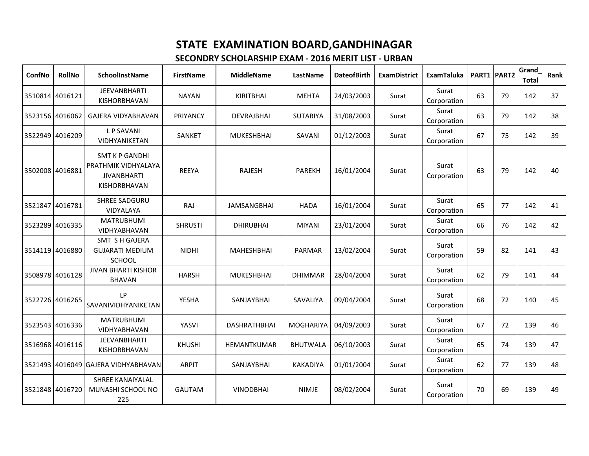| ConfNo          | <b>RollNo</b>   | <b>SchoolInstName</b>                                                                     | <b>FirstName</b> | <b>MiddleName</b>  | LastName         | <b>DateofBirth</b> | <b>ExamDistrict</b> | <b>ExamTaluka</b>    |    | PART1 PART2 | Grand<br><b>Total</b> | Rank |
|-----------------|-----------------|-------------------------------------------------------------------------------------------|------------------|--------------------|------------------|--------------------|---------------------|----------------------|----|-------------|-----------------------|------|
| 3510814 4016121 |                 | <b>JEEVANBHARTI</b><br>KISHORBHAVAN                                                       | <b>NAYAN</b>     | <b>KIRITBHAI</b>   | <b>MEHTA</b>     | 24/03/2003         | Surat               | Surat<br>Corporation | 63 | 79          | 142                   | 37   |
| 3523156 4016062 |                 | <b>GAJERA VIDYABHAVAN</b>                                                                 | PRIYANCY         | <b>DEVRAJBHAI</b>  | <b>SUTARIYA</b>  | 31/08/2003         | Surat               | Surat<br>Corporation | 63 | 79          | 142                   | 38   |
| 3522949 4016209 |                 | <b>LP SAVANI</b><br><b>VIDHYANIKETAN</b>                                                  | SANKET           | <b>MUKESHBHAI</b>  | SAVANI           | 01/12/2003         | Surat               | Surat<br>Corporation | 67 | 75          | 142                   | 39   |
| 3502008 4016881 |                 | <b>SMT K P GANDHI</b><br>PRATHMIK VIDHYALAYA<br><b>JIVANBHARTI</b><br><b>KISHORBHAVAN</b> | <b>REEYA</b>     | <b>RAJESH</b>      | <b>PAREKH</b>    | 16/01/2004         | Surat               | Surat<br>Corporation | 63 | 79          | 142                   | 40   |
|                 | 3521847 4016781 | <b>SHREE SADGURU</b><br><b>VIDYALAYA</b>                                                  | RAJ              | <b>JAMSANGBHAI</b> | <b>HADA</b>      | 16/01/2004         | Surat               | Surat<br>Corporation | 65 | 77          | 142                   | 41   |
| 3523289         | 4016335         | <b>MATRUBHUMI</b><br>VIDHYABHAVAN                                                         | <b>SHRUSTI</b>   | <b>DHIRUBHAI</b>   | <b>MIYANI</b>    | 23/01/2004         | Surat               | Surat<br>Corporation | 66 | 76          | 142                   | 42   |
|                 | 3514119 4016880 | <b>SMT S H GAJERA</b><br><b>GUJARATI MEDIUM</b><br><b>SCHOOL</b>                          | <b>NIDHI</b>     | <b>MAHESHBHAI</b>  | PARMAR           | 13/02/2004         | Surat               | Surat<br>Corporation | 59 | 82          | 141                   | 43   |
| 3508978         | 4016128         | <b>JIVAN BHARTI KISHOR</b><br><b>BHAVAN</b>                                               | <b>HARSH</b>     | <b>MUKESHBHAI</b>  | <b>DHIMMAR</b>   | 28/04/2004         | Surat               | Surat<br>Corporation | 62 | 79          | 141                   | 44   |
| 3522726 4016265 |                 | LP<br>SAVANIVIDHYANIKETAN                                                                 | YESHA            | SANJAYBHAI         | SAVALIYA         | 09/04/2004         | Surat               | Surat<br>Corporation | 68 | 72          | 140                   | 45   |
|                 | 3523543 4016336 | <b>MATRUBHUMI</b><br>VIDHYABHAVAN                                                         | YASVI            | DASHRATHBHAI       | <b>MOGHARIYA</b> | 04/09/2003         | Surat               | Surat<br>Corporation | 67 | 72          | 139                   | 46   |
| 3516968 4016116 |                 | <b>JEEVANBHARTI</b><br>KISHORBHAVAN                                                       | <b>KHUSHI</b>    | HEMANTKUMAR        | <b>BHUTWALA</b>  | 06/10/2003         | Surat               | Surat<br>Corporation | 65 | 74          | 139                   | 47   |
|                 |                 | 3521493 4016049 GAJERA VIDHYABHAVAN                                                       | <b>ARPIT</b>     | SANJAYBHAI         | <b>KAKADIYA</b>  | 01/01/2004         | Surat               | Surat<br>Corporation | 62 | 77          | 139                   | 48   |
|                 | 3521848 4016720 | SHREE KANAIYALAL<br>MUNASHI SCHOOL NO<br>225                                              | <b>GAUTAM</b>    | <b>VINODBHAI</b>   | <b>NIMJE</b>     | 08/02/2004         | Surat               | Surat<br>Corporation | 70 | 69          | 139                   | 49   |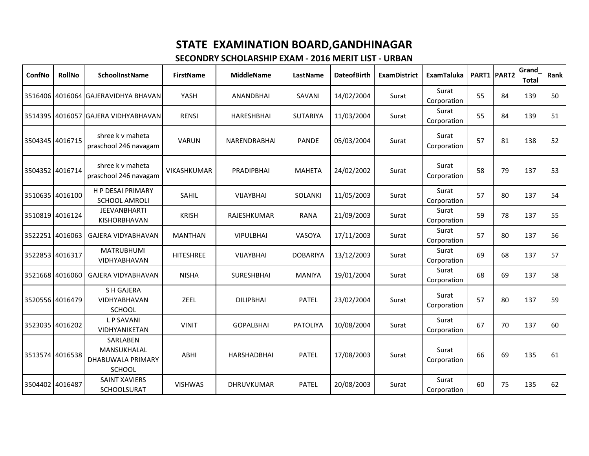| ConfNo          | <b>RollNo</b>   | SchoolInstName                                                | <b>FirstName</b>   | <b>MiddleName</b>  | LastName        | <b>DateofBirth</b> | <b>ExamDistrict</b> | <b>ExamTaluka</b>    |    | PART1 PART2 | Grand<br><b>Total</b> | Rank |
|-----------------|-----------------|---------------------------------------------------------------|--------------------|--------------------|-----------------|--------------------|---------------------|----------------------|----|-------------|-----------------------|------|
|                 |                 | 3516406 4016064 GAJERAVIDHYA BHAVAN                           | YASH               | <b>ANANDBHAI</b>   | SAVANI          | 14/02/2004         | Surat               | Surat<br>Corporation | 55 | 84          | 139                   | 50   |
|                 |                 | 3514395 4016057 GAJERA VIDHYABHAVAN                           | <b>RENSI</b>       | HARESHBHAI         | <b>SUTARIYA</b> | 11/03/2004         | Surat               | Surat<br>Corporation | 55 | 84          | 139                   | 51   |
| 3504345 4016715 |                 | shree k v maheta<br>praschool 246 navagam                     | <b>VARUN</b>       | NARENDRABHAI       | <b>PANDE</b>    | 05/03/2004         | Surat               | Surat<br>Corporation | 57 | 81          | 138                   | 52   |
| 3504352 4016714 |                 | shree k v maheta<br>praschool 246 navagam                     | <b>VIKASHKUMAR</b> | PRADIPBHAI         | <b>MAHETA</b>   | 24/02/2002         | Surat               | Surat<br>Corporation | 58 | 79          | 137                   | 53   |
| 3510635 4016100 |                 | <b>H P DESAI PRIMARY</b><br><b>SCHOOL AMROLI</b>              | SAHIL              | VIJAYBHAI          | <b>SOLANKI</b>  | 11/05/2003         | Surat               | Surat<br>Corporation | 57 | 80          | 137                   | 54   |
|                 | 3510819 4016124 | <b>JEEVANBHARTI</b><br>KISHORBHAVAN                           | <b>KRISH</b>       | <b>RAJESHKUMAR</b> | <b>RANA</b>     | 21/09/2003         | Surat               | Surat<br>Corporation | 59 | 78          | 137                   | 55   |
| 3522251 4016063 |                 | <b>GAJERA VIDYABHAVAN</b>                                     | <b>MANTHAN</b>     | <b>VIPULBHAI</b>   | VASOYA          | 17/11/2003         | Surat               | Surat<br>Corporation | 57 | 80          | 137                   | 56   |
| 3522853 4016317 |                 | <b>MATRUBHUMI</b><br>VIDHYABHAVAN                             | <b>HITESHREE</b>   | VIJAYBHAI          | <b>DOBARIYA</b> | 13/12/2003         | Surat               | Surat<br>Corporation | 69 | 68          | 137                   | 57   |
| 3521668 4016060 |                 | <b>GAJERA VIDYABHAVAN</b>                                     | <b>NISHA</b>       | <b>SURESHBHAI</b>  | <b>MANIYA</b>   | 19/01/2004         | Surat               | Surat<br>Corporation | 68 | 69          | 137                   | 58   |
| 3520556 4016479 |                 | <b>SH GAJERA</b><br><b>VIDHYABHAVAN</b><br><b>SCHOOL</b>      | ZEEL               | <b>DILIPBHAI</b>   | <b>PATEL</b>    | 23/02/2004         | Surat               | Surat<br>Corporation | 57 | 80          | 137                   | 59   |
| 3523035 4016202 |                 | <b>LP SAVANI</b><br>VIDHYANIKETAN                             | <b>VINIT</b>       | <b>GOPALBHAI</b>   | <b>PATOLIYA</b> | 10/08/2004         | Surat               | Surat<br>Corporation | 67 | 70          | 137                   | 60   |
| 3513574 4016538 |                 | SARLABEN<br>MANSUKHALAL<br>DHABUWALA PRIMARY<br><b>SCHOOL</b> | ABHI               | <b>HARSHADBHAI</b> | <b>PATEL</b>    | 17/08/2003         | Surat               | Surat<br>Corporation | 66 | 69          | 135                   | 61   |
| 3504402 4016487 |                 | <b>SAINT XAVIERS</b><br>SCHOOLSURAT                           | <b>VISHWAS</b>     | DHRUVKUMAR         | <b>PATEL</b>    | 20/08/2003         | Surat               | Surat<br>Corporation | 60 | 75          | 135                   | 62   |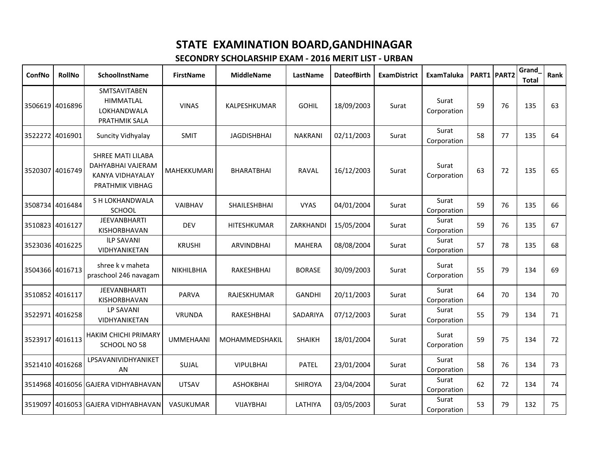| ConfNo          | RollNo          | SchoolInstName                                                                | <b>FirstName</b>   | <b>MiddleName</b>  | LastName       | <b>DateofBirth</b> | <b>ExamDistrict</b> | <b>ExamTaluka</b>    |    | PART1 PART2 | Grand<br><b>Total</b> | Rank |
|-----------------|-----------------|-------------------------------------------------------------------------------|--------------------|--------------------|----------------|--------------------|---------------------|----------------------|----|-------------|-----------------------|------|
|                 | 3506619 4016896 | <b>SMTSAVITABEN</b><br><b>HIMMATLAL</b><br>LOKHANDWALA<br>PRATHMIK SALA       | <b>VINAS</b>       | KALPESHKUMAR       | <b>GOHIL</b>   | 18/09/2003         | Surat               | Surat<br>Corporation | 59 | 76          | 135                   | 63   |
|                 | 3522272 4016901 | Suncity Vidhyalay                                                             | <b>SMIT</b>        | <b>JAGDISHBHAI</b> | <b>NAKRANI</b> | 02/11/2003         | Surat               | Surat<br>Corporation | 58 | 77          | 135                   | 64   |
|                 | 3520307 4016749 | SHREE MATI LILABA<br>DAHYABHAI VAJERAM<br>KANYA VIDHAYALAY<br>PRATHMIK VIBHAG | <b>MAHEKKUMARI</b> | <b>BHARATBHAI</b>  | <b>RAVAL</b>   | 16/12/2003         | Surat               | Surat<br>Corporation | 63 | 72          | 135                   | 65   |
|                 | 3508734 4016484 | S H LOKHANDWALA<br><b>SCHOOL</b>                                              | <b>VAIBHAV</b>     | SHAILESHBHAI       | <b>VYAS</b>    | 04/01/2004         | Surat               | Surat<br>Corporation | 59 | 76          | 135                   | 66   |
| 3510823 4016127 |                 | <b>JEEVANBHARTI</b><br>KISHORBHAVAN                                           | <b>DEV</b>         | <b>HITESHKUMAR</b> | ZARKHANDI      | 15/05/2004         | Surat               | Surat<br>Corporation | 59 | 76          | 135                   | 67   |
|                 | 3523036 4016225 | <b>ILP SAVANI</b><br>VIDHYANIKETAN                                            | <b>KRUSHI</b>      | <b>ARVINDBHAI</b>  | <b>MAHERA</b>  | 08/08/2004         | Surat               | Surat<br>Corporation | 57 | 78          | 135                   | 68   |
| 3504366 4016713 |                 | shree k v maheta<br>praschool 246 navagam                                     | <b>NIKHILBHIA</b>  | RAKESHBHAI         | <b>BORASE</b>  | 30/09/2003         | Surat               | Surat<br>Corporation | 55 | 79          | 134                   | 69   |
|                 | 3510852 4016117 | <b>JEEVANBHARTI</b><br><b>KISHORBHAVAN</b>                                    | PARVA              | RAJESKHUMAR        | <b>GANDHI</b>  | 20/11/2003         | Surat               | Surat<br>Corporation | 64 | 70          | 134                   | 70   |
|                 | 3522971 4016258 | <b>LP SAVANI</b><br>VIDHYANIKETAN                                             | VRUNDA             | RAKESHBHAI         | SADARIYA       | 07/12/2003         | Surat               | Surat<br>Corporation | 55 | 79          | 134                   | 71   |
| 3523917 4016113 |                 | <b>HAKIM CHICHI PRIMARY</b><br>SCHOOL NO 58                                   | <b>UMMEHAANI</b>   | MOHAMMEDSHAKIL     | <b>SHAIKH</b>  | 18/01/2004         | Surat               | Surat<br>Corporation | 59 | 75          | 134                   | 72   |
|                 | 3521410 4016268 | LPSAVANIVIDHYANIKET<br>AN.                                                    | SUJAL              | <b>VIPULBHAI</b>   | PATEL          | 23/01/2004         | Surat               | Surat<br>Corporation | 58 | 76          | 134                   | 73   |
|                 |                 | 3514968 4016056 GAJERA VIDHYABHAVAN                                           | <b>UTSAV</b>       | <b>ASHOKBHAI</b>   | SHIROYA        | 23/04/2004         | Surat               | Surat<br>Corporation | 62 | 72          | 134                   | 74   |
|                 |                 | 3519097 4016053 GAJERA VIDHYABHAVAN                                           | VASUKUMAR          | <b>VIJAYBHAI</b>   | LATHIYA        | 03/05/2003         | Surat               | Surat<br>Corporation | 53 | 79          | 132                   | 75   |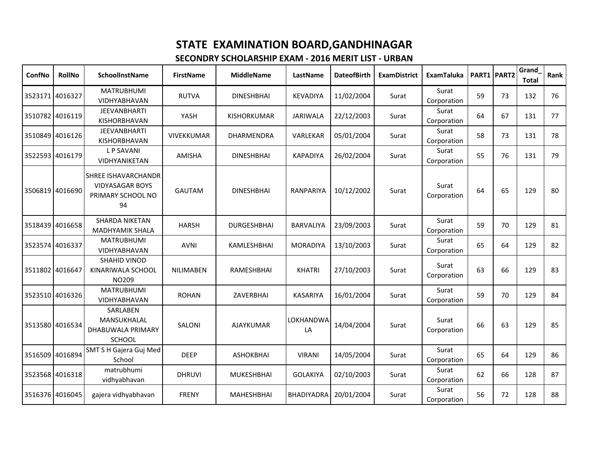| ConfNo          | RollNo          | SchoolInstName                                                                  | <b>FirstName</b>  | <b>MiddleName</b>  | LastName          | <b>DateofBirth</b> | <b>ExamDistrict</b> | <b>ExamTaluka</b>    |    | PART1 PART2 | Grand<br><b>Total</b> | Rank |
|-----------------|-----------------|---------------------------------------------------------------------------------|-------------------|--------------------|-------------------|--------------------|---------------------|----------------------|----|-------------|-----------------------|------|
|                 | 3523171 4016327 | <b>MATRUBHUMI</b><br><b>VIDHYABHAVAN</b>                                        | <b>RUTVA</b>      | <b>DINESHBHAI</b>  | <b>KEVADIYA</b>   | 11/02/2004         | Surat               | Surat<br>Corporation | 59 | 73          | 132                   | 76   |
|                 | 3510782 4016119 | <b>JEEVANBHARTI</b><br>KISHORBHAVAN                                             | YASH              | KISHORKUMAR        | JARIWALA          | 22/12/2003         | Surat               | Surat<br>Corporation | 64 | 67          | 131                   | 77   |
|                 | 3510849 4016126 | <b>JEEVANBHARTI</b><br>KISHORBHAVAN                                             | <b>VIVEKKUMAR</b> | <b>DHARMENDRA</b>  | VARLEKAR          | 05/01/2004         | Surat               | Surat<br>Corporation | 58 | 73          | 131                   | 78   |
|                 | 3522593 4016179 | <b>LP SAVANI</b><br>VIDHYANIKETAN                                               | <b>AMISHA</b>     | <b>DINESHBHAI</b>  | <b>KAPADIYA</b>   | 26/02/2004         | Surat               | Surat<br>Corporation | 55 | 76          | 131                   | 79   |
|                 | 3506819 4016690 | <b>SHREE ISHAVARCHANDR</b><br><b>VIDYASAGAR BOYS</b><br>PRIMARY SCHOOL NO<br>94 | <b>GAUTAM</b>     | <b>DINESHBHAI</b>  | <b>RANPARIYA</b>  | 10/12/2002         | Surat               | Surat<br>Corporation | 64 | 65          | 129                   | 80   |
|                 | 3518439 4016658 | <b>SHARDA NIKETAN</b><br>MADHYAMIK SHALA                                        | <b>HARSH</b>      | <b>DURGESHBHAI</b> | BARVALIYA         | 23/09/2003         | Surat               | Surat<br>Corporation | 59 | 70          | 129                   | 81   |
|                 | 3523574 4016337 | <b>MATRUBHUMI</b><br>VIDHYABHAVAN                                               | <b>AVNI</b>       | KAMLESHBHAI        | <b>MORADIYA</b>   | 13/10/2003         | Surat               | Surat<br>Corporation | 65 | 64          | 129                   | 82   |
| 3511802 4016647 |                 | <b>SHAHID VINOD</b><br>KINARIWALA SCHOOL<br>NO209                               | NILIMABEN         | RAMESHBHAI         | <b>KHATRI</b>     | 27/10/2003         | Surat               | Surat<br>Corporation | 63 | 66          | 129                   | 83   |
|                 | 3523510 4016326 | <b>MATRUBHUMI</b><br>VIDHYABHAVAN                                               | <b>ROHAN</b>      | ZAVERBHAI          | <b>KASARIYA</b>   | 16/01/2004         | Surat               | Surat<br>Corporation | 59 | 70          | 129                   | 84   |
| 3513580 4016534 |                 | SARLABEN<br>MANSUKHALAL<br>DHABUWALA PRIMARY<br>SCHOOL                          | SALONI            | <b>AJAYKUMAR</b>   | LOKHANDWA<br>LA   | 14/04/2004         | Surat               | Surat<br>Corporation | 66 | 63          | 129                   | 85   |
| 3516509 4016894 |                 | SMT S H Gajera Guj Med<br>School                                                | <b>DEEP</b>       | <b>ASHOKBHAI</b>   | <b>VIRANI</b>     | 14/05/2004         | Surat               | Surat<br>Corporation | 65 | 64          | 129                   | 86   |
|                 | 3523568 4016318 | matrubhumi<br>vidhyabhavan                                                      | <b>DHRUVI</b>     | <b>MUKESHBHAI</b>  | <b>GOLAKIYA</b>   | 02/10/2003         | Surat               | Surat<br>Corporation | 62 | 66          | 128                   | 87   |
|                 | 3516376 4016045 | gajera vidhyabhavan                                                             | <b>FRENY</b>      | <b>MAHESHBHAI</b>  | <b>BHADIYADRA</b> | 20/01/2004         | Surat               | Surat<br>Corporation | 56 | 72          | 128                   | 88   |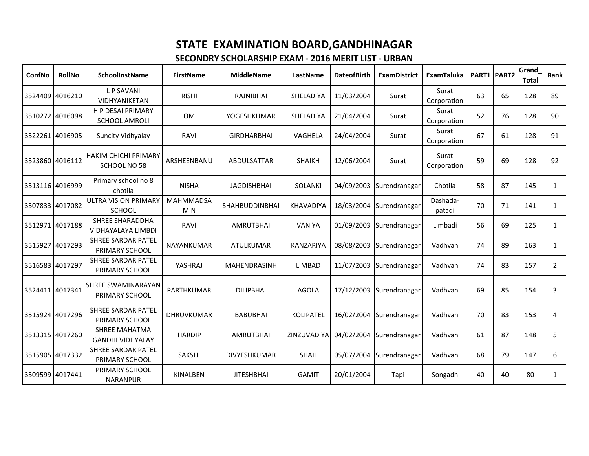| ConfNo          | <b>RollNo</b>   | SchoolInstName                                      | <b>FirstName</b>               | <b>MiddleName</b>     | LastName         | <b>DateofBirth</b> | <b>ExamDistrict</b>                  | <b>ExamTaluka</b>    |    | PART1 PART2 | Grand<br><b>Total</b> | Rank           |
|-----------------|-----------------|-----------------------------------------------------|--------------------------------|-----------------------|------------------|--------------------|--------------------------------------|----------------------|----|-------------|-----------------------|----------------|
|                 | 3524409 4016210 | <b>LP SAVANI</b><br><b>VIDHYANIKETAN</b>            | <b>RISHI</b>                   | RAJNIBHAI             | SHELADIYA        | 11/03/2004         | Surat                                | Surat<br>Corporation | 63 | 65          | 128                   | 89             |
| 3510272 4016098 |                 | <b>H P DESAI PRIMARY</b><br><b>SCHOOL AMROLI</b>    | <b>OM</b>                      | YOGESHKUMAR           | SHELADIYA        | 21/04/2004         | Surat                                | Surat<br>Corporation | 52 | 76          | 128                   | 90             |
| 3522261 4016905 |                 | Suncity Vidhyalay                                   | RAVI                           | <b>GIRDHARBHAI</b>    | VAGHELA          | 24/04/2004         | Surat                                | Surat<br>Corporation | 67 | 61          | 128                   | 91             |
| 3523860 4016112 |                 | HAKIM CHICHI PRIMARY<br>SCHOOL NO 58                | ARSHEENBANU                    | <b>ABDULSATTAR</b>    | <b>SHAIKH</b>    | 12/06/2004         | Surat                                | Surat<br>Corporation | 59 | 69          | 128                   | 92             |
|                 | 3513116 4016999 | Primary school no 8<br>chotila                      | <b>NISHA</b>                   | <b>JAGDISHBHAI</b>    | <b>SOLANKI</b>   | 04/09/2003         | Surendranagar                        | Chotila              | 58 | 87          | 145                   | $\mathbf{1}$   |
| 3507833 4017082 |                 | <b>ULTRA VISION PRIMARY</b><br><b>SCHOOL</b>        | <b>MAHMMADSA</b><br><b>MIN</b> | <b>SHAHBUDDINBHAI</b> | <b>KHAVADIYA</b> |                    | 18/03/2004 Surendranagar             | Dashada-<br>patadi   | 70 | 71          | 141                   | $\mathbf{1}$   |
| 3512971 4017188 |                 | <b>SHREE SHARADDHA</b><br><b>VIDHAYALAYA LIMBDI</b> | RAVI                           | <b>AMRUTBHAI</b>      | <b>VANIYA</b>    |                    | 01/09/2003 Surendranagar             | Limbadi              | 56 | 69          | 125                   | $\mathbf{1}$   |
|                 | 3515927 4017293 | <b>SHREE SARDAR PATEL</b><br>PRIMARY SCHOOL         | NAYANKUMAR                     | <b>ATULKUMAR</b>      | <b>KANZARIYA</b> |                    | 08/08/2003 Surendranagar             | Vadhvan              | 74 | 89          | 163                   | $\mathbf{1}$   |
| 3516583 4017297 |                 | <b>SHREE SARDAR PATEL</b><br>PRIMARY SCHOOL         | YASHRAJ                        | <b>MAHENDRASINH</b>   | LIMBAD           |                    | 11/07/2003 Surendranagar             | Vadhvan              | 74 | 83          | 157                   | $\overline{2}$ |
| 3524411 4017341 |                 | SHREE SWAMINARAYAN<br>PRIMARY SCHOOL                | <b>PARTHKUMAR</b>              | <b>DILIPBHAI</b>      | <b>AGOLA</b>     |                    | 17/12/2003 Surendranagar             | Vadhvan              | 69 | 85          | 154                   | 3              |
|                 | 3515924 4017296 | <b>SHREE SARDAR PATEL</b><br>PRIMARY SCHOOL         | <b>DHRUVKUMAR</b>              | <b>BABUBHAI</b>       | <b>KOLIPATEL</b> | 16/02/2004         | Surendranagar                        | Vadhvan              | 70 | 83          | 153                   | 4              |
|                 | 3513315 4017260 | <b>SHREE MAHATMA</b><br><b>GANDHI VIDHYALAY</b>     | <b>HARDIP</b>                  | <b>AMRUTBHAI</b>      |                  |                    | ZINZUVADIYA 04/02/2004 Surendranagar | Vadhvan              | 61 | 87          | 148                   | 5              |
| 3515905 4017332 |                 | <b>SHREE SARDAR PATEL</b><br>PRIMARY SCHOOL         | SAKSHI                         | DIVYESHKUMAR          | SHAH             |                    | 05/07/2004 Surendranagar             | Vadhvan              | 68 | 79          | 147                   | 6              |
| 3509599 4017441 |                 | PRIMARY SCHOOL<br><b>NARANPUR</b>                   | KINALBEN                       | <b>JITESHBHAI</b>     | <b>GAMIT</b>     | 20/01/2004         | Tapi                                 | Songadh              | 40 | 40          | 80                    | $\mathbf{1}$   |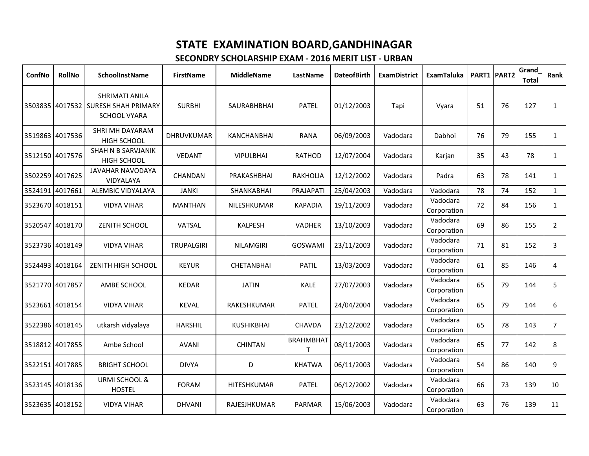| ConfNo  | <b>RollNo</b>   | SchoolInstName                                                               | <b>FirstName</b>  | <b>MiddleName</b>  | LastName              | <b>DateofBirth</b> | <b>ExamDistrict</b> | <b>ExamTaluka</b>       |    | <b>PART1 PART2</b> | Grand<br><b>Total</b> | Rank           |
|---------|-----------------|------------------------------------------------------------------------------|-------------------|--------------------|-----------------------|--------------------|---------------------|-------------------------|----|--------------------|-----------------------|----------------|
|         |                 | SHRIMATI ANILA<br>3503835 4017532 SURESH SHAH PRIMARY<br><b>SCHOOL VYARA</b> | <b>SURBHI</b>     | SAURABHBHAI        | <b>PATEL</b>          | 01/12/2003         | Tapi                | Vyara                   | 51 | 76                 | 127                   | $\mathbf{1}$   |
| 3519863 | 4017536         | SHRI MH DAYARAM<br><b>HIGH SCHOOL</b>                                        | <b>DHRUVKUMAR</b> | <b>KANCHANBHAI</b> | <b>RANA</b>           | 06/09/2003         | Vadodara            | Dabhoi                  | 76 | 79                 | 155                   | $\mathbf{1}$   |
|         | 3512150 4017576 | SHAH N B SARVJANIK<br><b>HIGH SCHOOL</b>                                     | <b>VEDANT</b>     | <b>VIPULBHAI</b>   | <b>RATHOD</b>         | 12/07/2004         | Vadodara            | Karjan                  | 35 | 43                 | 78                    | $\mathbf{1}$   |
|         | 3502259 4017625 | <b>JAVAHAR NAVODAYA</b><br>VIDYALAYA                                         | <b>CHANDAN</b>    | PRAKASHBHAI        | <b>RAKHOLIA</b>       | 12/12/2002         | Vadodara            | Padra                   | 63 | 78                 | 141                   | $\mathbf{1}$   |
| 3524191 | 4017661         | ALEMBIC VIDYALAYA                                                            | <b>JANKI</b>      | SHANKABHAI         | PRAJAPATI             | 25/04/2003         | Vadodara            | Vadodara                | 78 | 74                 | 152                   | $\mathbf{1}$   |
|         | 3523670 4018151 | <b>VIDYA VIHAR</b>                                                           | <b>MANTHAN</b>    | NILESHKUMAR        | <b>KAPADIA</b>        | 19/11/2003         | Vadodara            | Vadodara<br>Corporation | 72 | 84                 | 156                   | $\mathbf{1}$   |
| 3520547 | 4018170         | ZENITH SCHOOL                                                                | VATSAL            | <b>KALPESH</b>     | <b>VADHER</b>         | 13/10/2003         | Vadodara            | Vadodara<br>Corporation | 69 | 86                 | 155                   | $\overline{2}$ |
|         | 3523736 4018149 | <b>VIDYA VIHAR</b>                                                           | <b>TRUPALGIRI</b> | <b>NILAMGIRI</b>   | GOSWAMI               | 23/11/2003         | Vadodara            | Vadodara<br>Corporation | 71 | 81                 | 152                   | $\overline{3}$ |
|         | 3524493 4018164 | ZENITH HIGH SCHOOL                                                           | <b>KEYUR</b>      | <b>CHETANBHAI</b>  | <b>PATIL</b>          | 13/03/2003         | Vadodara            | Vadodara<br>Corporation | 61 | 85                 | 146                   | 4              |
|         | 3521770 4017857 | AMBE SCHOOL                                                                  | <b>KEDAR</b>      | <b>JATIN</b>       | <b>KALE</b>           | 27/07/2003         | Vadodara            | Vadodara<br>Corporation | 65 | 79                 | 144                   | 5              |
|         | 3523661 4018154 | <b>VIDYA VIHAR</b>                                                           | <b>KEVAL</b>      | RAKESHKUMAR        | <b>PATEL</b>          | 24/04/2004         | Vadodara            | Vadodara<br>Corporation | 65 | 79                 | 144                   | 6              |
|         | 3522386 4018145 | utkarsh vidyalaya                                                            | <b>HARSHIL</b>    | KUSHIKBHAI         | <b>CHAVDA</b>         | 23/12/2002         | Vadodara            | Vadodara<br>Corporation | 65 | 78                 | 143                   | $7^{\circ}$    |
|         | 3518812 4017855 | Ambe School                                                                  | <b>AVANI</b>      | <b>CHINTAN</b>     | <b>BRAHMBHAT</b><br>т | 08/11/2003         | Vadodara            | Vadodara<br>Corporation | 65 | 77                 | 142                   | 8              |
|         | 3522151 4017885 | <b>BRIGHT SCHOOL</b>                                                         | <b>DIVYA</b>      | D                  | <b>KHATWA</b>         | 06/11/2003         | Vadodara            | Vadodara<br>Corporation | 54 | 86                 | 140                   | 9              |
|         | 3523145 4018136 | <b>URMI SCHOOL &amp;</b><br><b>HOSTEL</b>                                    | <b>FORAM</b>      | HITESHKUMAR        | <b>PATEL</b>          | 06/12/2002         | Vadodara            | Vadodara<br>Corporation | 66 | 73                 | 139                   | 10             |
|         | 3523635 4018152 | <b>VIDYA VIHAR</b>                                                           | <b>DHVANI</b>     | RAJESJHKUMAR       | <b>PARMAR</b>         | 15/06/2003         | Vadodara            | Vadodara<br>Corporation | 63 | 76                 | 139                   | 11             |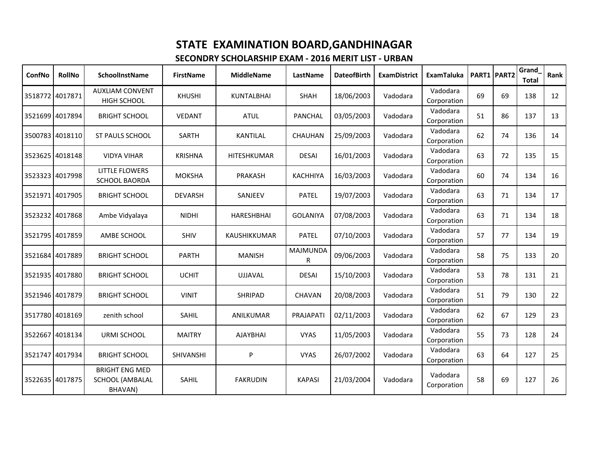| ConfNo          | <b>RollNo</b>   | <b>SchoolInstName</b>                                      | <b>FirstName</b> | <b>MiddleName</b>   | LastName             | <b>DateofBirth</b> | <b>ExamDistrict</b> | <b>ExamTaluka</b>       |    | PART1 PART2 | Grand<br><b>Total</b> | Rank |
|-----------------|-----------------|------------------------------------------------------------|------------------|---------------------|----------------------|--------------------|---------------------|-------------------------|----|-------------|-----------------------|------|
|                 | 3518772 4017871 | <b>AUXLIAM CONVENT</b><br>HIGH SCHOOL                      | <b>KHUSHI</b>    | <b>KUNTALBHAI</b>   | <b>SHAH</b>          | 18/06/2003         | Vadodara            | Vadodara<br>Corporation | 69 | 69          | 138                   | 12   |
| 3521699 4017894 |                 | <b>BRIGHT SCHOOL</b>                                       | <b>VEDANT</b>    | <b>ATUL</b>         | PANCHAL              | 03/05/2003         | Vadodara            | Vadodara<br>Corporation | 51 | 86          | 137                   | 13   |
|                 | 3500783 4018110 | ST PAULS SCHOOL                                            | SARTH            | KANTILAL            | CHAUHAN              | 25/09/2003         | Vadodara            | Vadodara<br>Corporation | 62 | 74          | 136                   | 14   |
|                 | 3523625 4018148 | <b>VIDYA VIHAR</b>                                         | <b>KRISHNA</b>   | HITESHKUMAR         | <b>DESAI</b>         | 16/01/2003         | Vadodara            | Vadodara<br>Corporation | 63 | 72          | 135                   | 15   |
|                 | 3523323 4017998 | <b>LITTLE FLOWERS</b><br><b>SCHOOL BAORDA</b>              | <b>MOKSHA</b>    | PRAKASH             | KACHHIYA             | 16/03/2003         | Vadodara            | Vadodara<br>Corporation | 60 | 74          | 134                   | 16   |
| 3521971 4017905 |                 | <b>BRIGHT SCHOOL</b>                                       | <b>DEVARSH</b>   | SANJEEV             | <b>PATEL</b>         | 19/07/2003         | Vadodara            | Vadodara<br>Corporation | 63 | 71          | 134                   | 17   |
|                 | 3523232 4017868 | Ambe Vidyalaya                                             | <b>NIDHI</b>     | <b>HARESHBHAI</b>   | <b>GOLANIYA</b>      | 07/08/2003         | Vadodara            | Vadodara<br>Corporation | 63 | 71          | 134                   | 18   |
|                 | 3521795 4017859 | AMBE SCHOOL                                                | <b>SHIV</b>      | <b>KAUSHIKKUMAR</b> | <b>PATEL</b>         | 07/10/2003         | Vadodara            | Vadodara<br>Corporation | 57 | 77          | 134                   | 19   |
|                 | 3521684 4017889 | <b>BRIGHT SCHOOL</b>                                       | <b>PARTH</b>     | <b>MANISH</b>       | <b>MAJMUNDA</b><br>R | 09/06/2003         | Vadodara            | Vadodara<br>Corporation | 58 | 75          | 133                   | 20   |
| 3521935 4017880 |                 | <b>BRIGHT SCHOOL</b>                                       | <b>UCHIT</b>     | <b>UJJAVAL</b>      | <b>DESAI</b>         | 15/10/2003         | Vadodara            | Vadodara<br>Corporation | 53 | 78          | 131                   | 21   |
|                 | 3521946 4017879 | <b>BRIGHT SCHOOL</b>                                       | <b>VINIT</b>     | <b>SHRIPAD</b>      | <b>CHAVAN</b>        | 20/08/2003         | Vadodara            | Vadodara<br>Corporation | 51 | 79          | 130                   | 22   |
|                 | 3517780 4018169 | zenith school                                              | <b>SAHIL</b>     | ANILKUMAR           | PRAJAPATI            | 02/11/2003         | Vadodara            | Vadodara<br>Corporation | 62 | 67          | 129                   | 23   |
|                 | 3522667 4018134 | URMI SCHOOL                                                | <b>MAITRY</b>    | <b>AJAYBHAI</b>     | <b>VYAS</b>          | 11/05/2003         | Vadodara            | Vadodara<br>Corporation | 55 | 73          | 128                   | 24   |
| 3521747 4017934 |                 | <b>BRIGHT SCHOOL</b>                                       | SHIVANSHI        | P                   | <b>VYAS</b>          | 26/07/2002         | Vadodara            | Vadodara<br>Corporation | 63 | 64          | 127                   | 25   |
| 3522635 4017875 |                 | <b>BRIGHT ENG MED</b><br><b>SCHOOL (AMBALAL</b><br>BHAVAN) | SAHIL            | <b>FAKRUDIN</b>     | <b>KAPASI</b>        | 21/03/2004         | Vadodara            | Vadodara<br>Corporation | 58 | 69          | 127                   | 26   |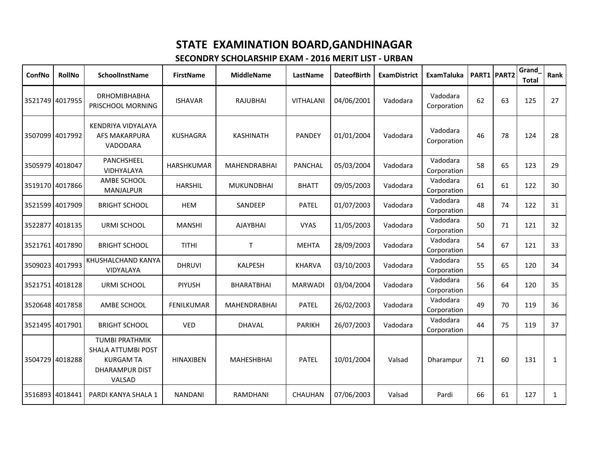| ConfNo  | <b>RollNo</b>   | SchoolInstName                                                                                            | <b>FirstName</b>  | <b>MiddleName</b>   | LastName         | <b>DateofBirth</b> | <b>ExamDistrict</b> | <b>ExamTaluka</b>       |    | PART1 PART2 | Grand<br><b>Total</b> | Rank            |
|---------|-----------------|-----------------------------------------------------------------------------------------------------------|-------------------|---------------------|------------------|--------------------|---------------------|-------------------------|----|-------------|-----------------------|-----------------|
|         | 3521749 4017955 | <b>DRHOMIBHABHA</b><br>PRISCHOOL MORNING                                                                  | <b>ISHAVAR</b>    | <b>RAJUBHAI</b>     | <b>VITHALANI</b> | 04/06/2001         | Vadodara            | Vadodara<br>Corporation | 62 | 63          | 125                   | 27              |
|         | 3507099 4017992 | KENDRIYA VIDYALAYA<br><b>AFS MAKARPURA</b><br>VADODARA                                                    | <b>KUSHAGRA</b>   | <b>KASHINATH</b>    | PANDEY           | 01/01/2004         | Vadodara            | Vadodara<br>Corporation | 46 | 78          | 124                   | 28              |
|         | 3505979 4018047 | PANCHSHEEL<br>VIDHYALAYA                                                                                  | HARSHKUMAR        | <b>MAHENDRABHAI</b> | <b>PANCHAL</b>   | 05/03/2004         | Vadodara            | Vadodara<br>Corporation | 58 | 65          | 123                   | 29              |
|         | 3519170 4017866 | AMBE SCHOOL<br><b>MANJALPUR</b>                                                                           | <b>HARSHIL</b>    | <b>MUKUNDBHAI</b>   | <b>BHATT</b>     | 09/05/2003         | Vadodara            | Vadodara<br>Corporation | 61 | 61          | 122                   | 30              |
|         | 3521599 4017909 | <b>BRIGHT SCHOOL</b>                                                                                      | <b>HEM</b>        | SANDEEP             | <b>PATEL</b>     | 01/07/2003         | Vadodara            | Vadodara<br>Corporation | 48 | 74          | 122                   | 31              |
|         | 3522877 4018135 | URMI SCHOOL                                                                                               | <b>MANSHI</b>     | <b>AJAYBHAI</b>     | <b>VYAS</b>      | 11/05/2003         | Vadodara            | Vadodara<br>Corporation | 50 | 71          | 121                   | 32 <sup>2</sup> |
|         | 3521761 4017890 | <b>BRIGHT SCHOOL</b>                                                                                      | <b>TITHI</b>      | $\mathsf{T}$        | <b>MEHTA</b>     | 28/09/2003         | Vadodara            | Vadodara<br>Corporation | 54 | 67          | 121                   | 33              |
|         | 3509023 4017993 | KHUSHALCHAND KANYA<br><b>VIDYALAYA</b>                                                                    | <b>DHRUVI</b>     | <b>KALPESH</b>      | KHARVA           | 03/10/2003         | Vadodara            | Vadodara<br>Corporation | 55 | 65          | 120                   | 34              |
|         | 3521751 4018128 | <b>URMI SCHOOL</b>                                                                                        | PIYUSH            | <b>BHARATBHAI</b>   | <b>MARWADI</b>   | 03/04/2004         | Vadodara            | Vadodara<br>Corporation | 56 | 64          | 120                   | 35              |
|         | 3520648 4017858 | AMBE SCHOOL                                                                                               | <b>FENILKUMAR</b> | <b>MAHENDRABHAI</b> | <b>PATEL</b>     | 26/02/2003         | Vadodara            | Vadodara<br>Corporation | 49 | 70          | 119                   | 36              |
|         | 3521495 4017901 | <b>BRIGHT SCHOOL</b>                                                                                      | <b>VED</b>        | <b>DHAVAL</b>       | <b>PARIKH</b>    | 26/07/2003         | Vadodara            | Vadodara<br>Corporation | 44 | 75          | 119                   | 37              |
|         | 3504729 4018288 | <b>TUMBI PRATHMIK</b><br><b>SHALA ATTUMBI POST</b><br><b>KURGAM TA</b><br><b>DHARAMPUR DIST</b><br>VALSAD | <b>HINAXIBEN</b>  | MAHESHBHAI          | <b>PATEL</b>     | 10/01/2004         | Valsad              | Dharampur               | 71 | 60          | 131                   | $\mathbf{1}$    |
| 3516893 | 4018441         | PARDI KANYA SHALA 1                                                                                       | <b>NANDANI</b>    | RAMDHANI            | CHAUHAN          | 07/06/2003         | Valsad              | Pardi                   | 66 | 61          | 127                   | $\mathbf{1}$    |